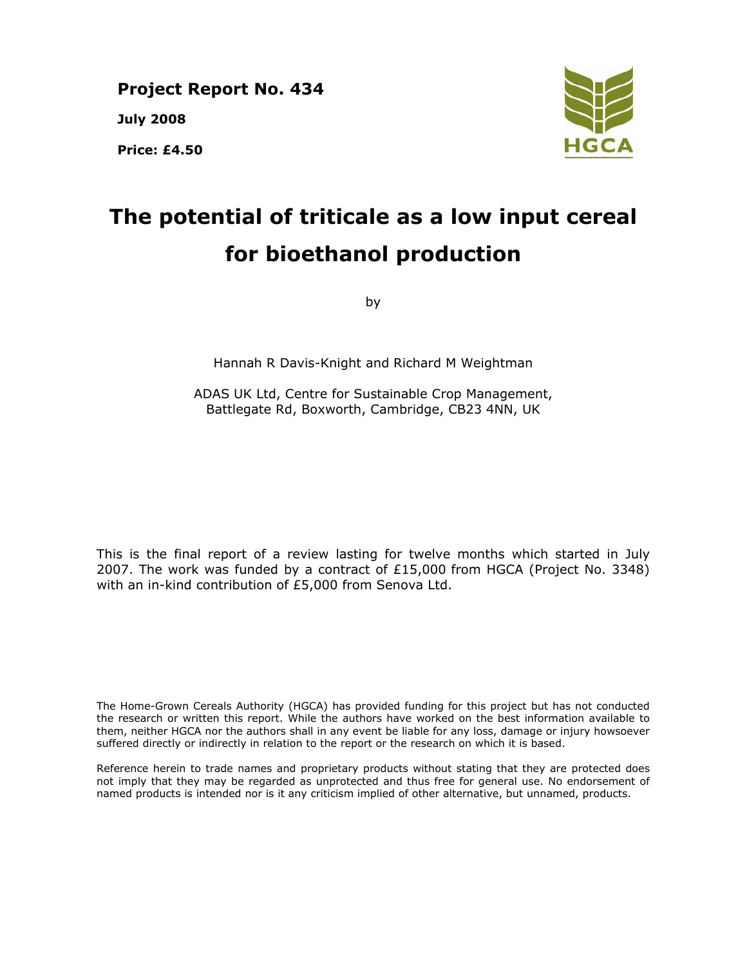**Project Report No. 434 July 2008 Price: £4.50** 



# **The potential of triticale as a low input cereal for bioethanol production**

by

Hannah R Davis-Knight and Richard M Weightman

ADAS UK Ltd, Centre for Sustainable Crop Management, Battlegate Rd, Boxworth, Cambridge, CB23 4NN, UK

This is the final report of a review lasting for twelve months which started in July 2007. The work was funded by a contract of £15,000 from HGCA (Project No. 3348) with an in-kind contribution of £5,000 from Senova Ltd.

The Home-Grown Cereals Authority (HGCA) has provided funding for this project but has not conducted the research or written this report. While the authors have worked on the best information available to them, neither HGCA nor the authors shall in any event be liable for any loss, damage or injury howsoever suffered directly or indirectly in relation to the report or the research on which it is based.

Reference herein to trade names and proprietary products without stating that they are protected does not imply that they may be regarded as unprotected and thus free for general use. No endorsement of named products is intended nor is it any criticism implied of other alternative, but unnamed, products.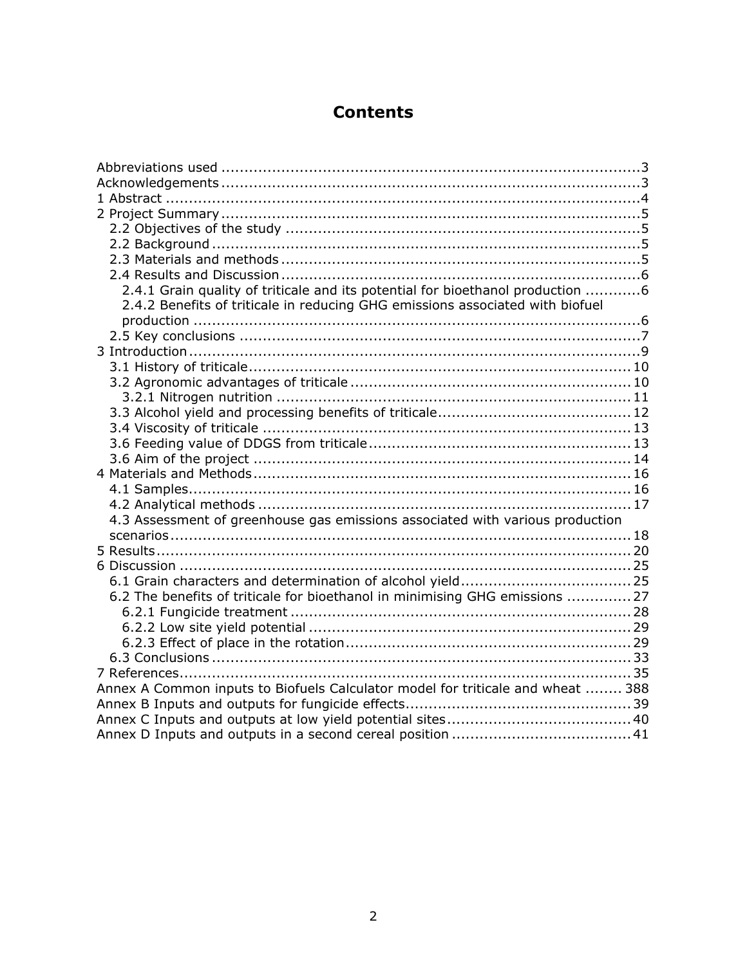## **Contents**

| 2.4.1 Grain quality of triticale and its potential for bioethanol production 6  |  |
|---------------------------------------------------------------------------------|--|
| 2.4.2 Benefits of triticale in reducing GHG emissions associated with biofuel   |  |
|                                                                                 |  |
|                                                                                 |  |
|                                                                                 |  |
|                                                                                 |  |
|                                                                                 |  |
|                                                                                 |  |
|                                                                                 |  |
|                                                                                 |  |
|                                                                                 |  |
|                                                                                 |  |
|                                                                                 |  |
|                                                                                 |  |
|                                                                                 |  |
| 4.3 Assessment of greenhouse gas emissions associated with various production   |  |
|                                                                                 |  |
|                                                                                 |  |
|                                                                                 |  |
|                                                                                 |  |
| 6.2 The benefits of triticale for bioethanol in minimising GHG emissions 27     |  |
|                                                                                 |  |
|                                                                                 |  |
|                                                                                 |  |
|                                                                                 |  |
|                                                                                 |  |
| Annex A Common inputs to Biofuels Calculator model for triticale and wheat  388 |  |
|                                                                                 |  |
|                                                                                 |  |
|                                                                                 |  |
|                                                                                 |  |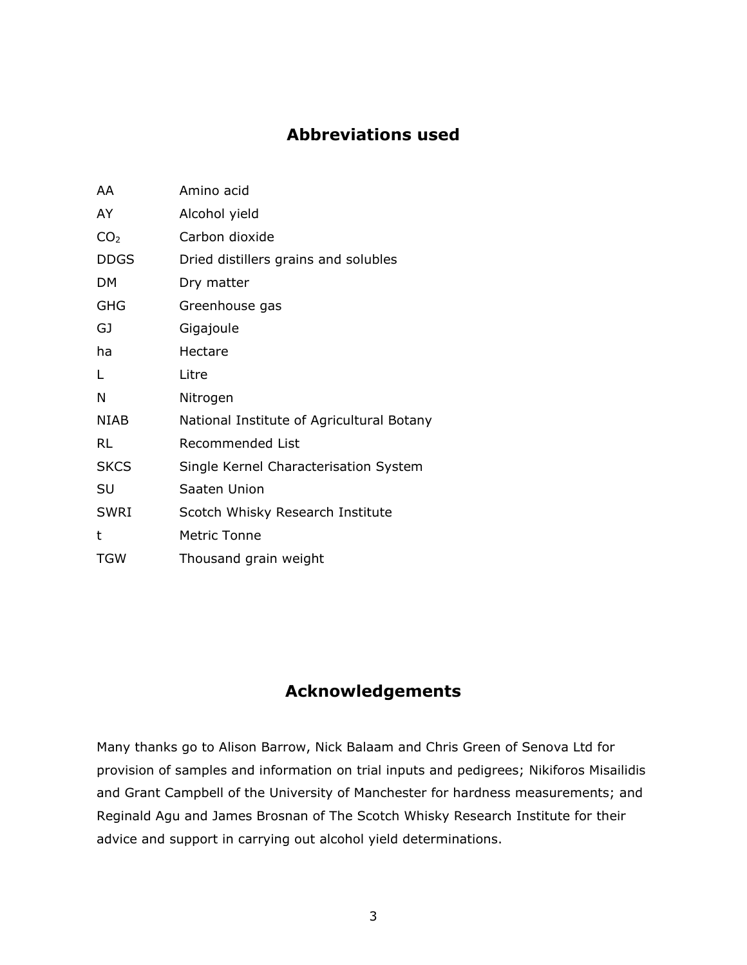## **Abbreviations used**

| AA              | Amino acid                                |  |  |  |
|-----------------|-------------------------------------------|--|--|--|
| AY              | Alcohol yield                             |  |  |  |
| CO <sub>2</sub> | Carbon dioxide                            |  |  |  |
| <b>DDGS</b>     | Dried distillers grains and solubles      |  |  |  |
| DM.             | Dry matter                                |  |  |  |
| <b>GHG</b>      | Greenhouse gas                            |  |  |  |
| GJ              | Gigajoule                                 |  |  |  |
| ha              | Hectare                                   |  |  |  |
| Г               | Litre                                     |  |  |  |
| N               | Nitrogen                                  |  |  |  |
| <b>NIAB</b>     | National Institute of Agricultural Botany |  |  |  |
| RL              | Recommended List                          |  |  |  |
| <b>SKCS</b>     | Single Kernel Characterisation System     |  |  |  |
| SU              | Saaten Union                              |  |  |  |
| <b>SWRI</b>     | Scotch Whisky Research Institute          |  |  |  |
| t               | <b>Metric Tonne</b>                       |  |  |  |
| <b>TGW</b>      | Thousand grain weight                     |  |  |  |

## **Acknowledgements**

Many thanks go to Alison Barrow, Nick Balaam and Chris Green of Senova Ltd for provision of samples and information on trial inputs and pedigrees; Nikiforos Misailidis and Grant Campbell of the University of Manchester for hardness measurements; and Reginald Agu and James Brosnan of The Scotch Whisky Research Institute for their advice and support in carrying out alcohol yield determinations.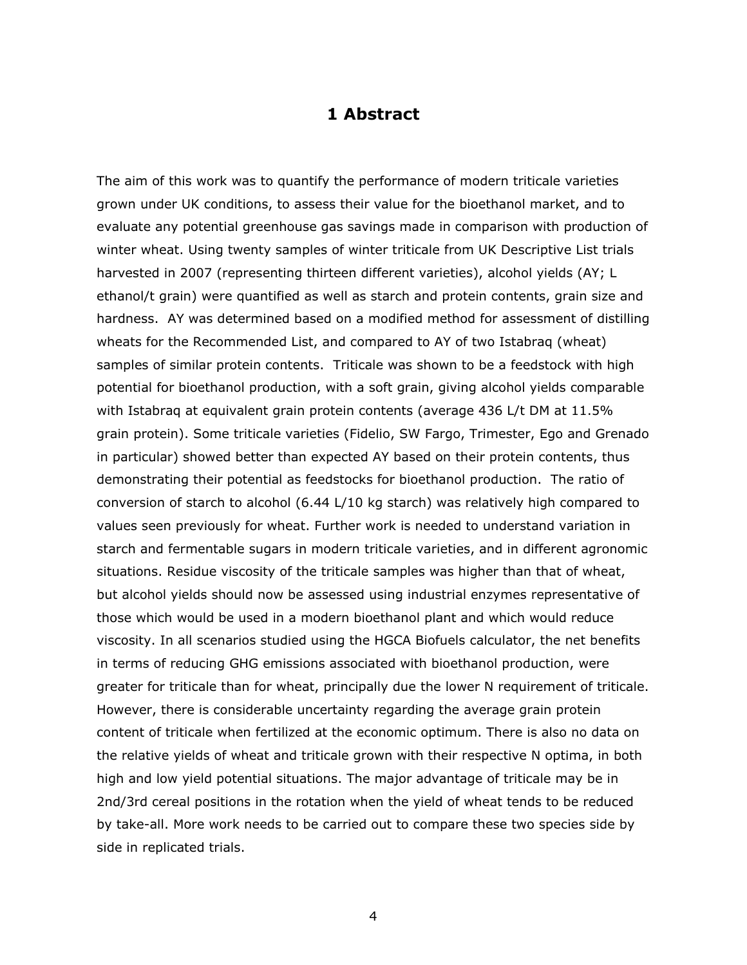#### **1 Abstract**

The aim of this work was to quantify the performance of modern triticale varieties grown under UK conditions, to assess their value for the bioethanol market, and to evaluate any potential greenhouse gas savings made in comparison with production of winter wheat. Using twenty samples of winter triticale from UK Descriptive List trials harvested in 2007 (representing thirteen different varieties), alcohol yields (AY; L ethanol/t grain) were quantified as well as starch and protein contents, grain size and hardness. AY was determined based on a modified method for assessment of distilling wheats for the Recommended List, and compared to AY of two Istabraq (wheat) samples of similar protein contents. Triticale was shown to be a feedstock with high potential for bioethanol production, with a soft grain, giving alcohol yields comparable with Istabraq at equivalent grain protein contents (average 436 L/t DM at 11.5% grain protein). Some triticale varieties (Fidelio, SW Fargo, Trimester, Ego and Grenado in particular) showed better than expected AY based on their protein contents, thus demonstrating their potential as feedstocks for bioethanol production. The ratio of conversion of starch to alcohol (6.44 L/10 kg starch) was relatively high compared to values seen previously for wheat. Further work is needed to understand variation in starch and fermentable sugars in modern triticale varieties, and in different agronomic situations. Residue viscosity of the triticale samples was higher than that of wheat, but alcohol yields should now be assessed using industrial enzymes representative of those which would be used in a modern bioethanol plant and which would reduce viscosity. In all scenarios studied using the HGCA Biofuels calculator, the net benefits in terms of reducing GHG emissions associated with bioethanol production, were greater for triticale than for wheat, principally due the lower N requirement of triticale. However, there is considerable uncertainty regarding the average grain protein content of triticale when fertilized at the economic optimum. There is also no data on the relative yields of wheat and triticale grown with their respective N optima, in both high and low yield potential situations. The major advantage of triticale may be in 2nd/3rd cereal positions in the rotation when the yield of wheat tends to be reduced by take-all. More work needs to be carried out to compare these two species side by side in replicated trials.

 $4<sup>1</sup>$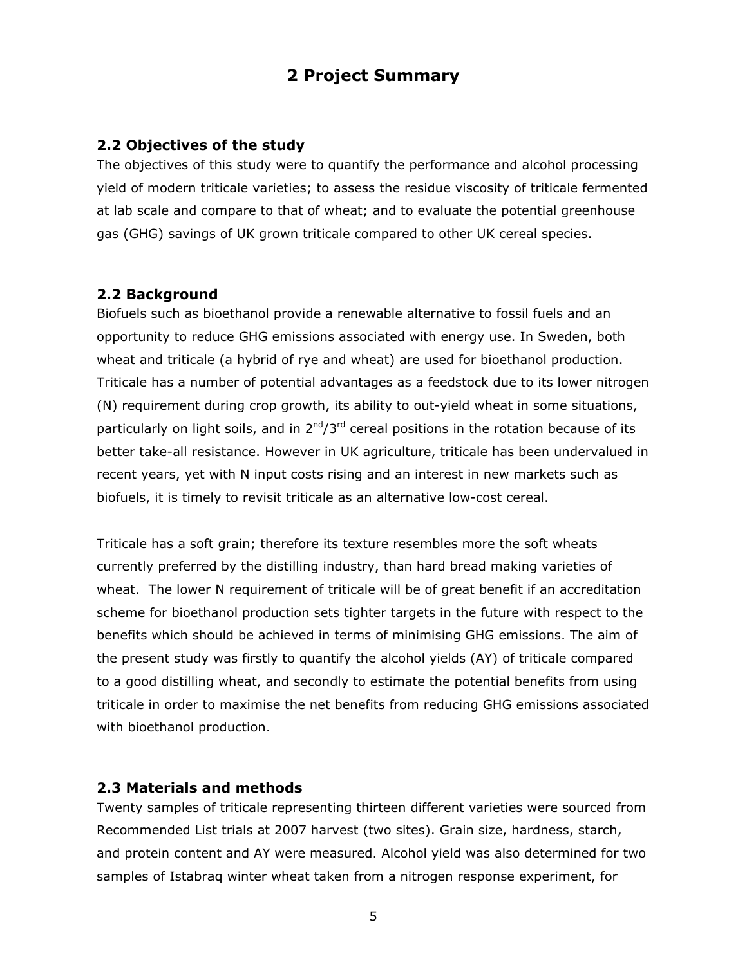## **2 Project Summary**

#### **2.2 Objectives of the study**

The objectives of this study were to quantify the performance and alcohol processing yield of modern triticale varieties; to assess the residue viscosity of triticale fermented at lab scale and compare to that of wheat; and to evaluate the potential greenhouse gas (GHG) savings of UK grown triticale compared to other UK cereal species.

#### **2.2 Background**

Biofuels such as bioethanol provide a renewable alternative to fossil fuels and an opportunity to reduce GHG emissions associated with energy use. In Sweden, both wheat and triticale (a hybrid of rye and wheat) are used for bioethanol production. Triticale has a number of potential advantages as a feedstock due to its lower nitrogen (N) requirement during crop growth, its ability to out-yield wheat in some situations, particularly on light soils, and in  $2^{nd}/3^{rd}$  cereal positions in the rotation because of its better take-all resistance. However in UK agriculture, triticale has been undervalued in recent years, yet with N input costs rising and an interest in new markets such as biofuels, it is timely to revisit triticale as an alternative low-cost cereal.

Triticale has a soft grain; therefore its texture resembles more the soft wheats currently preferred by the distilling industry, than hard bread making varieties of wheat. The lower N requirement of triticale will be of great benefit if an accreditation scheme for bioethanol production sets tighter targets in the future with respect to the benefits which should be achieved in terms of minimising GHG emissions. The aim of the present study was firstly to quantify the alcohol yields (AY) of triticale compared to a good distilling wheat, and secondly to estimate the potential benefits from using triticale in order to maximise the net benefits from reducing GHG emissions associated with bioethanol production.

#### **2.3 Materials and methods**

Twenty samples of triticale representing thirteen different varieties were sourced from Recommended List trials at 2007 harvest (two sites). Grain size, hardness, starch, and protein content and AY were measured. Alcohol yield was also determined for two samples of Istabraq winter wheat taken from a nitrogen response experiment, for

the state of the state of the state of the ST and the ST and the ST and the ST and the ST and the ST and the S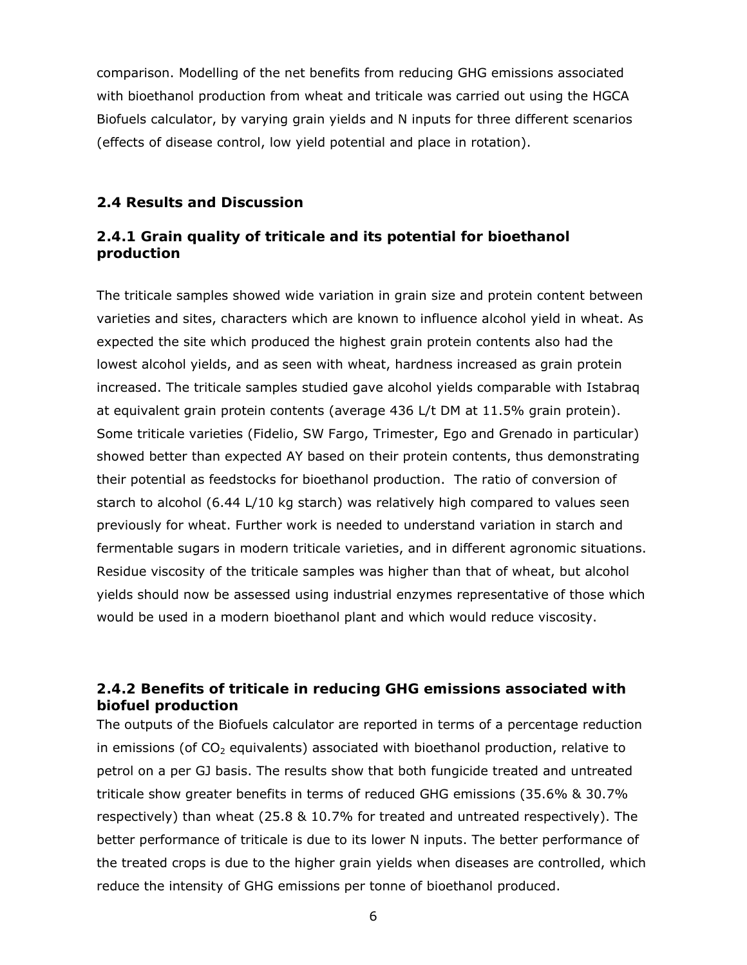comparison. Modelling of the net benefits from reducing GHG emissions associated with bioethanol production from wheat and triticale was carried out using the HGCA Biofuels calculator, by varying grain yields and N inputs for three different scenarios (effects of disease control, low yield potential and place in rotation).

#### **2.4 Results and Discussion**

#### *2.4.1 Grain quality of triticale and its potential for bioethanol production*

The triticale samples showed wide variation in grain size and protein content between varieties and sites, characters which are known to influence alcohol yield in wheat. As expected the site which produced the highest grain protein contents also had the lowest alcohol yields, and as seen with wheat, hardness increased as grain protein increased. The triticale samples studied gave alcohol yields comparable with Istabraq at equivalent grain protein contents (average 436 L/t DM at 11.5% grain protein). Some triticale varieties (Fidelio, SW Fargo, Trimester, Ego and Grenado in particular) showed better than expected AY based on their protein contents, thus demonstrating their potential as feedstocks for bioethanol production. The ratio of conversion of starch to alcohol (6.44 L/10 kg starch) was relatively high compared to values seen previously for wheat. Further work is needed to understand variation in starch and fermentable sugars in modern triticale varieties, and in different agronomic situations. Residue viscosity of the triticale samples was higher than that of wheat, but alcohol yields should now be assessed using industrial enzymes representative of those which would be used in a modern bioethanol plant and which would reduce viscosity.

#### *2.4.2 Benefits of triticale in reducing GHG emissions associated with biofuel production*

The outputs of the Biofuels calculator are reported in terms of a percentage reduction in emissions (of  $CO<sub>2</sub>$  equivalents) associated with bioethanol production, relative to petrol on a per GJ basis. The results show that both fungicide treated and untreated triticale show greater benefits in terms of reduced GHG emissions (35.6% & 30.7% respectively) than wheat (25.8 & 10.7% for treated and untreated respectively). The better performance of triticale is due to its lower N inputs. The better performance of the treated crops is due to the higher grain yields when diseases are controlled, which reduce the intensity of GHG emissions per tonne of bioethanol produced.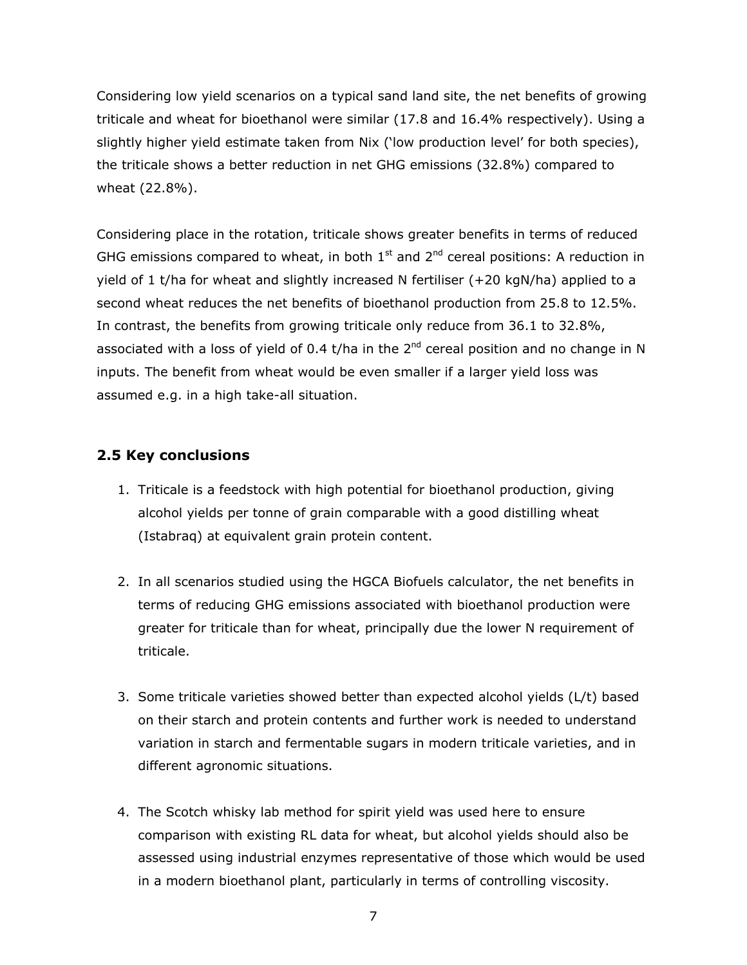Considering low yield scenarios on a typical sand land site, the net benefits of growing triticale and wheat for bioethanol were similar (17.8 and 16.4% respectively). Using a slightly higher yield estimate taken from Nix ('low production level' for both species), the triticale shows a better reduction in net GHG emissions (32.8%) compared to wheat (22.8%).

Considering place in the rotation, triticale shows greater benefits in terms of reduced GHG emissions compared to wheat, in both  $1<sup>st</sup>$  and  $2<sup>nd</sup>$  cereal positions: A reduction in yield of 1 t/ha for wheat and slightly increased N fertiliser (+20 kgN/ha) applied to a second wheat reduces the net benefits of bioethanol production from 25.8 to 12.5%. In contrast, the benefits from growing triticale only reduce from 36.1 to 32.8%, associated with a loss of yield of 0.4 t/ha in the  $2<sup>nd</sup>$  cereal position and no change in N inputs. The benefit from wheat would be even smaller if a larger yield loss was assumed e.g. in a high take-all situation.

#### **2.5 Key conclusions**

- 1. Triticale is a feedstock with high potential for bioethanol production, giving alcohol yields per tonne of grain comparable with a good distilling wheat (Istabraq) at equivalent grain protein content.
- 2. In all scenarios studied using the HGCA Biofuels calculator, the net benefits in terms of reducing GHG emissions associated with bioethanol production were greater for triticale than for wheat, principally due the lower N requirement of triticale.
- 3. Some triticale varieties showed better than expected alcohol yields (L/t) based on their starch and protein contents and further work is needed to understand variation in starch and fermentable sugars in modern triticale varieties, and in different agronomic situations.
- 4. The Scotch whisky lab method for spirit yield was used here to ensure comparison with existing RL data for wheat, but alcohol yields should also be assessed using industrial enzymes representative of those which would be used in a modern bioethanol plant, particularly in terms of controlling viscosity.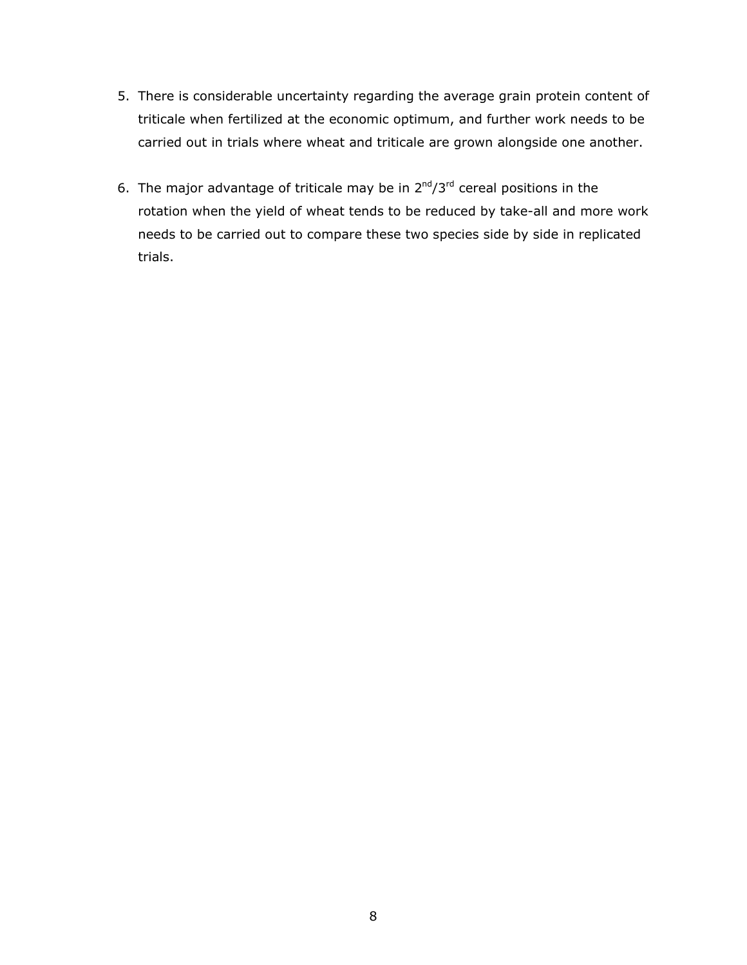- 5. There is considerable uncertainty regarding the average grain protein content of triticale when fertilized at the economic optimum, and further work needs to be carried out in trials where wheat and triticale are grown alongside one another.
- 6. The major advantage of triticale may be in  $2^{nd}/3^{rd}$  cereal positions in the rotation when the yield of wheat tends to be reduced by take-all and more work needs to be carried out to compare these two species side by side in replicated trials.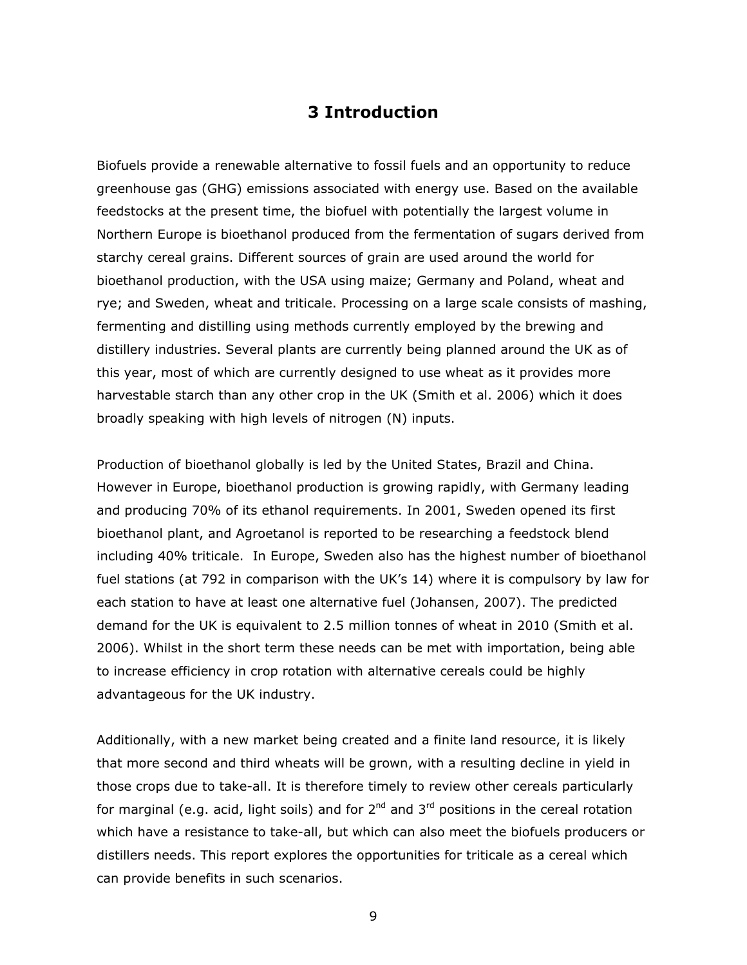### **3 Introduction**

Biofuels provide a renewable alternative to fossil fuels and an opportunity to reduce greenhouse gas (GHG) emissions associated with energy use. Based on the available feedstocks at the present time, the biofuel with potentially the largest volume in Northern Europe is bioethanol produced from the fermentation of sugars derived from starchy cereal grains. Different sources of grain are used around the world for bioethanol production, with the USA using maize; Germany and Poland, wheat and rye; and Sweden, wheat and triticale. Processing on a large scale consists of mashing, fermenting and distilling using methods currently employed by the brewing and distillery industries. Several plants are currently being planned around the UK as of this year, most of which are currently designed to use wheat as it provides more harvestable starch than any other crop in the UK (Smith *et al*. 2006) which it does broadly speaking with high levels of nitrogen (N) inputs.

Production of bioethanol globally is led by the United States, Brazil and China. However in Europe, bioethanol production is growing rapidly, with Germany leading and producing 70% of its ethanol requirements. In 2001, Sweden opened its first bioethanol plant, and Agroetanol is reported to be researching a feedstock blend including 40% triticale. In Europe, Sweden also has the highest number of bioethanol fuel stations (at 792 in comparison with the UK's 14) where it is compulsory by law for each station to have at least one alternative fuel (Johansen, 2007). The predicted demand for the UK is equivalent to 2.5 million tonnes of wheat in 2010 (Smith *et al*. 2006). Whilst in the short term these needs can be met with importation, being able to increase efficiency in crop rotation with alternative cereals could be highly advantageous for the UK industry.

Additionally, with a new market being created and a finite land resource, it is likely that more second and third wheats will be grown, with a resulting decline in yield in those crops due to take-all. It is therefore timely to review other cereals particularly for marginal (e.g. acid, light soils) and for  $2^{nd}$  and  $3^{rd}$  positions in the cereal rotation which have a resistance to take-all, but which can also meet the biofuels producers or distillers needs. This report explores the opportunities for triticale as a cereal which can provide benefits in such scenarios.

9 - Paul Barnett, actrice and a strategic production of the strategic production of the strategic production o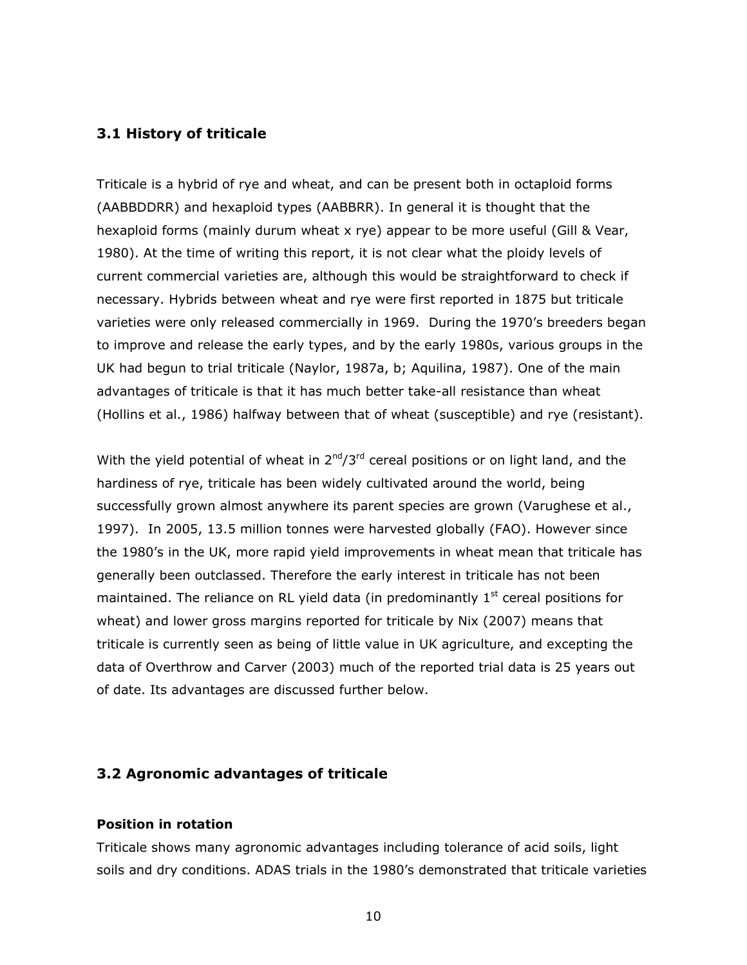#### **3.1 History of triticale**

Triticale is a hybrid of rye and wheat, and can be present both in octaploid forms (AABBDDRR) and hexaploid types (AABBRR). In general it is thought that the hexaploid forms (mainly durum wheat x rye) appear to be more useful (Gill & Vear, 1980). At the time of writing this report, it is not clear what the ploidy levels of current commercial varieties are, although this would be straightforward to check if necessary. Hybrids between wheat and rye were first reported in 1875 but triticale varieties were only released commercially in 1969. During the 1970's breeders began to improve and release the early types, and by the early 1980s, various groups in the UK had begun to trial triticale (Naylor, 1987a, b; Aquilina, 1987). One of the main advantages of triticale is that it has much better take-all resistance than wheat (Hollins *et al*., 1986) halfway between that of wheat (susceptible) and rye (resistant).

With the yield potential of wheat in  $2^{nd}/3^{rd}$  cereal positions or on light land, and the hardiness of rye, triticale has been widely cultivated around the world, being successfully grown almost anywhere its parent species are grown (Varughese *et al*., 1997). In 2005, 13.5 million tonnes were harvested globally (FAO). However since the 1980's in the UK, more rapid yield improvements in wheat mean that triticale has generally been outclassed. Therefore the early interest in triticale has not been maintained. The reliance on RL yield data (in predominantly  $1<sup>st</sup>$  cereal positions for wheat) and lower gross margins reported for triticale by Nix (2007) means that triticale is currently seen as being of little value in UK agriculture, and excepting the data of Overthrow and Carver (2003) much of the reported trial data is 25 years out of date. Its advantages are discussed further below.

#### **3.2 Agronomic advantages of triticale**

#### **Position in rotation**

Triticale shows many agronomic advantages including tolerance of acid soils, light soils and dry conditions. ADAS trials in the 1980's demonstrated that triticale varieties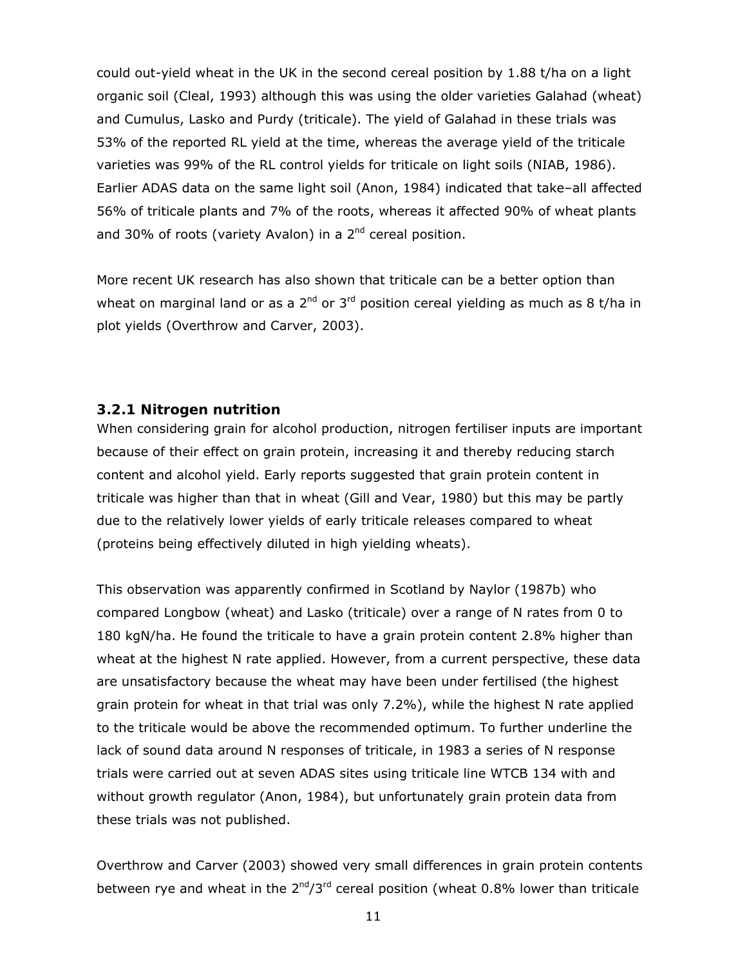could out-yield wheat in the UK in the second cereal position by 1.88 t/ha on a light organic soil (Cleal, 1993) although this was using the older varieties Galahad (wheat) and Cumulus, Lasko and Purdy (triticale). The yield of Galahad in these trials was 53% of the reported RL yield at the time, whereas the average yield of the triticale varieties was 99% of the RL control yields for triticale on light soils (NIAB, 1986). Earlier ADAS data on the same light soil (Anon, 1984) indicated that take–all affected 56% of triticale plants and 7% of the roots, whereas it affected 90% of wheat plants and 30% of roots (variety Avalon) in a  $2<sup>nd</sup>$  cereal position.

More recent UK research has also shown that triticale can be a better option than wheat on marginal land or as a  $2^{nd}$  or  $3^{rd}$  position cereal yielding as much as 8 t/ha in plot yields (Overthrow and Carver, 2003).

#### *3.2.1 Nitrogen nutrition*

When considering grain for alcohol production, nitrogen fertiliser inputs are important because of their effect on grain protein, increasing it and thereby reducing starch content and alcohol yield. Early reports suggested that grain protein content in triticale was higher than that in wheat (Gill and Vear, 1980) but this may be partly due to the relatively lower yields of early triticale releases compared to wheat (proteins being effectively diluted in high yielding wheats).

This observation was apparently confirmed in Scotland by Naylor (1987b) who compared Longbow (wheat) and Lasko (triticale) over a range of N rates from 0 to 180 kgN/ha. He found the triticale to have a grain protein content 2.8% higher than wheat at the highest N rate applied. However, from a current perspective, these data are unsatisfactory because the wheat may have been under fertilised (the highest grain protein for wheat in that trial was only 7.2%), while the highest N rate applied to the triticale would be above the recommended optimum. To further underline the lack of sound data around N responses of triticale, in 1983 a series of N response trials were carried out at seven ADAS sites using triticale line WTCB 134 with and without growth regulator (Anon, 1984), but unfortunately grain protein data from these trials was not published.

Overthrow and Carver (2003) showed very small differences in grain protein contents between rye and wheat in the  $2<sup>nd</sup>/3<sup>rd</sup>$  cereal position (wheat 0.8% lower than triticale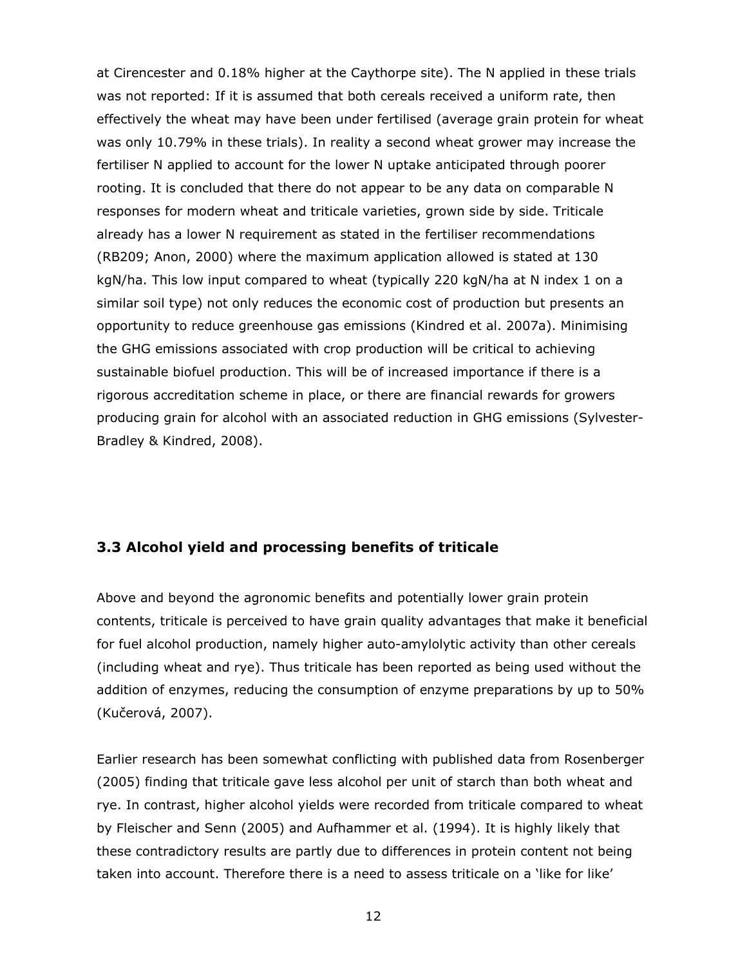at Cirencester and 0.18% higher at the Caythorpe site). The N applied in these trials was not reported: If it is assumed that both cereals received a uniform rate, then effectively the wheat may have been under fertilised (average grain protein for wheat was only 10.79% in these trials). In reality a second wheat grower may increase the fertiliser N applied to account for the lower N uptake anticipated through poorer rooting. It is concluded that there do not appear to be any data on comparable N responses for modern wheat and triticale varieties, grown side by side. Triticale already has a lower N requirement as stated in the fertiliser recommendations (RB209; Anon, 2000) where the maximum application allowed is stated at 130 kgN/ha. This low input compared to wheat (typically 220 kgN/ha at N index 1 on a similar soil type) not only reduces the economic cost of production but presents an opportunity to reduce greenhouse gas emissions (Kindred *et al*. 2007a). Minimising the GHG emissions associated with crop production will be critical to achieving sustainable biofuel production. This will be of increased importance if there is a rigorous accreditation scheme in place, or there are financial rewards for growers producing grain for alcohol with an associated reduction in GHG emissions (Sylvester-Bradley & Kindred, 2008).

#### **3.3 Alcohol yield and processing benefits of triticale**

Above and beyond the agronomic benefits and potentially lower grain protein contents, triticale is perceived to have grain quality advantages that make it beneficial for fuel alcohol production, namely higher auto-amylolytic activity than other cereals (including wheat and rye). Thus triticale has been reported as being used without the addition of enzymes, reducing the consumption of enzyme preparations by up to 50% (Kučerová, 2007).

Earlier research has been somewhat conflicting with published data from Rosenberger (2005) finding that triticale gave less alcohol per unit of starch than both wheat and rye. In contrast, higher alcohol yields were recorded from triticale compared to wheat by Fleischer and Senn (2005) and Aufhammer *et al*. (1994). It is highly likely that these contradictory results are partly due to differences in protein content not being taken into account. Therefore there is a need to assess triticale on a 'like for like'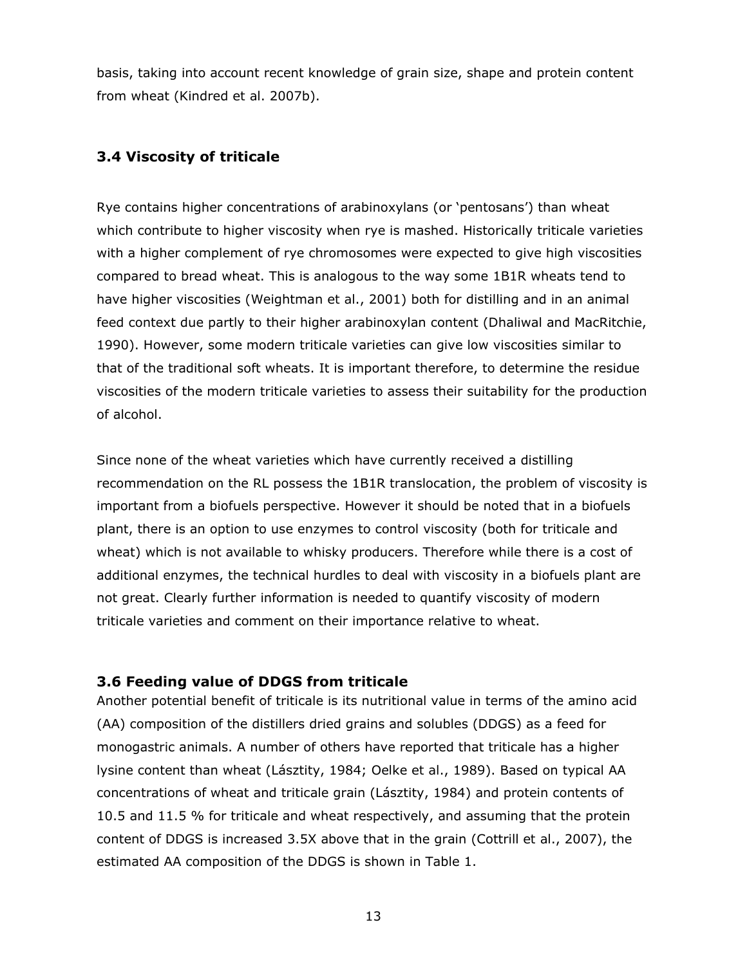basis, taking into account recent knowledge of grain size, shape and protein content from wheat (Kindred *et al*. 2007b).

#### **3.4 Viscosity of triticale**

Rye contains higher concentrations of arabinoxylans (or 'pentosans') than wheat which contribute to higher viscosity when rye is mashed. Historically triticale varieties with a higher complement of rye chromosomes were expected to give high viscosities compared to bread wheat. This is analogous to the way some 1B1R wheats tend to have higher viscosities (Weightman *et al*., 2001) both for distilling and in an animal feed context due partly to their higher arabinoxylan content (Dhaliwal and MacRitchie, 1990). However, some modern triticale varieties can give low viscosities similar to that of the traditional soft wheats. It is important therefore, to determine the residue viscosities of the modern triticale varieties to assess their suitability for the production of alcohol.

Since none of the wheat varieties which have currently received a distilling recommendation on the RL possess the 1B1R translocation, the problem of viscosity is important from a biofuels perspective. However it should be noted that in a biofuels plant, there is an option to use enzymes to control viscosity (both for triticale and wheat) which is not available to whisky producers. Therefore while there is a cost of additional enzymes, the technical hurdles to deal with viscosity in a biofuels plant are not great. Clearly further information is needed to quantify viscosity of modern triticale varieties and comment on their importance relative to wheat.

#### **3.6 Feeding value of DDGS from triticale**

Another potential benefit of triticale is its nutritional value in terms of the amino acid (AA) composition of the distillers dried grains and solubles (DDGS) as a feed for monogastric animals. A number of others have reported that triticale has a higher lysine content than wheat (Lásztity, 1984; Oelke *et al*., 1989). Based on typical AA concentrations of wheat and triticale grain (Lásztity, 1984) and protein contents of 10.5 and 11.5 % for triticale and wheat respectively, and assuming that the protein content of DDGS is increased 3.5X above that in the grain (Cottrill *et al*., 2007), the estimated AA composition of the DDGS is shown in Table 1.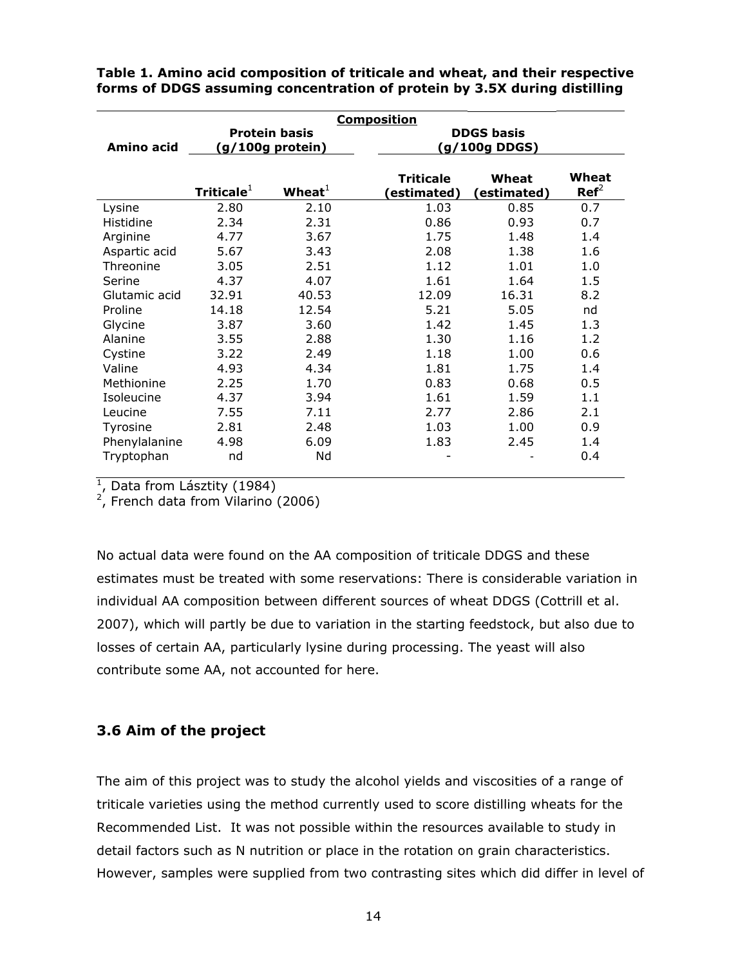|               | <b>Composition</b>                         |            |                                |                                    |                           |
|---------------|--------------------------------------------|------------|--------------------------------|------------------------------------|---------------------------|
| Amino acid    | <b>Protein basis</b><br>$(g/100g$ protein) |            |                                | <b>DDGS basis</b><br>(g/100g DDGS) |                           |
|               | Triticale $^1$                             | Wheat $^1$ | <b>Triticale</b><br>estimated) | Wheat<br>(estimated)               | Wheat<br>$\mathbf{Ref}^2$ |
| Lysine        | 2.80                                       | 2.10       | 1.03                           | 0.85                               | 0.7                       |
| Histidine     | 2.34                                       | 2.31       | 0.86                           | 0.93                               | 0.7                       |
| Arginine      | 4.77                                       | 3.67       | 1.75                           | 1.48                               | 1.4                       |
| Aspartic acid | 5.67                                       | 3.43       | 2.08                           | 1.38                               | 1.6                       |
| Threonine     | 3.05                                       | 2.51       | 1.12                           | 1.01                               | 1.0                       |
| Serine        | 4.37                                       | 4.07       | 1.61                           | 1.64                               | 1.5                       |
| Glutamic acid | 32.91                                      | 40.53      | 12.09                          | 16.31                              | 8.2                       |
| Proline       | 14.18                                      | 12.54      | 5.21                           | 5.05                               | nd                        |
| Glycine       | 3.87                                       | 3.60       | 1.42                           | 1.45                               | 1.3                       |
| Alanine       | 3.55                                       | 2.88       | 1.30                           | 1.16                               | 1.2                       |
| Cystine       | 3.22                                       | 2.49       | 1.18                           | 1.00                               | 0.6                       |
| Valine        | 4.93                                       | 4.34       | 1.81                           | 1.75                               | 1.4                       |
| Methionine    | 2.25                                       | 1.70       | 0.83                           | 0.68                               | 0.5                       |
| Isoleucine    | 4.37                                       | 3.94       | 1.61                           | 1.59                               | 1.1                       |
| Leucine       | 7.55                                       | 7.11       | 2.77                           | 2.86                               | 2.1                       |
| Tyrosine      | 2.81                                       | 2.48       | 1.03                           | 1.00                               | 0.9                       |
| Phenylalanine | 4.98                                       | 6.09       | 1.83                           | 2.45                               | 1.4                       |
| Tryptophan    | nd                                         | Nd         |                                |                                    | 0.4                       |

**Table 1. Amino acid composition of triticale and wheat, and their respective forms of DDGS assuming concentration of protein by 3.5X during distilling** 

<sup>1</sup>, Data from Lásztity (1984)

 $2$ , French data from Vilarino (2006)

No actual data were found on the AA composition of triticale DDGS and these estimates must be treated with some reservations: There is considerable variation in individual AA composition between different sources of wheat DDGS (Cottrill et al. 2007), which will partly be due to variation in the starting feedstock, but also due to losses of certain AA, particularly lysine during processing. The yeast will also contribute some AA, not accounted for here.

#### **3.6 Aim of the project**

The aim of this project was to study the alcohol yields and viscosities of a range of triticale varieties using the method currently used to score distilling wheats for the Recommended List. It was not possible within the resources available to study in detail factors such as N nutrition or place in the rotation on grain characteristics. However, samples were supplied from two contrasting sites which did differ in level of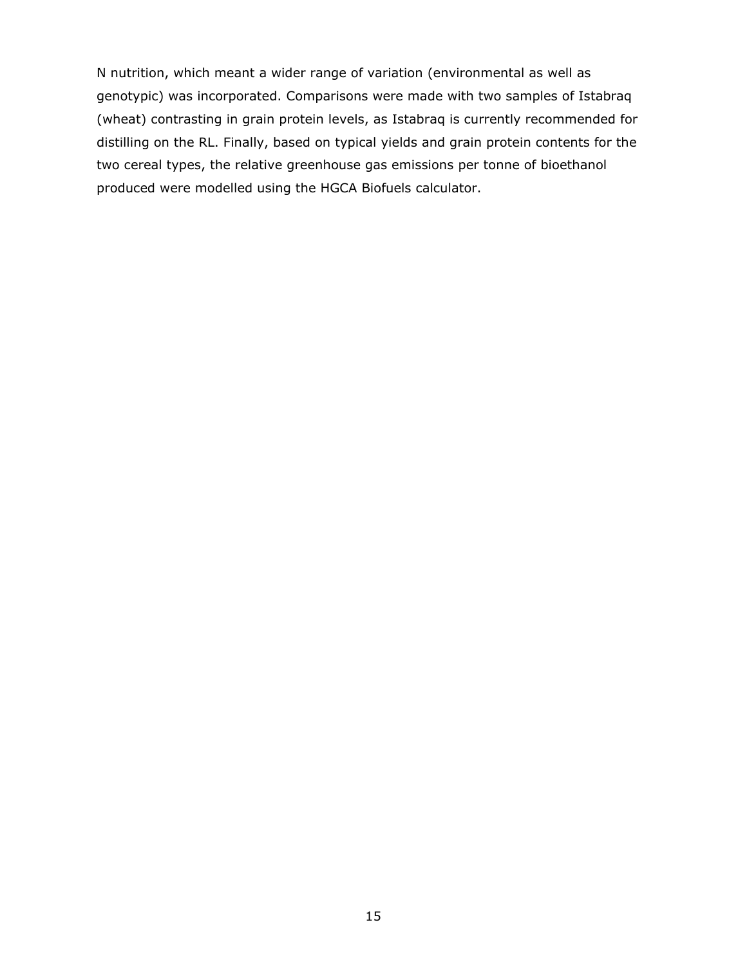N nutrition, which meant a wider range of variation (environmental as well as genotypic) was incorporated. Comparisons were made with two samples of Istabraq (wheat) contrasting in grain protein levels, as Istabraq is currently recommended for distilling on the RL. Finally, based on typical yields and grain protein contents for the two cereal types, the relative greenhouse gas emissions per tonne of bioethanol produced were modelled using the HGCA Biofuels calculator.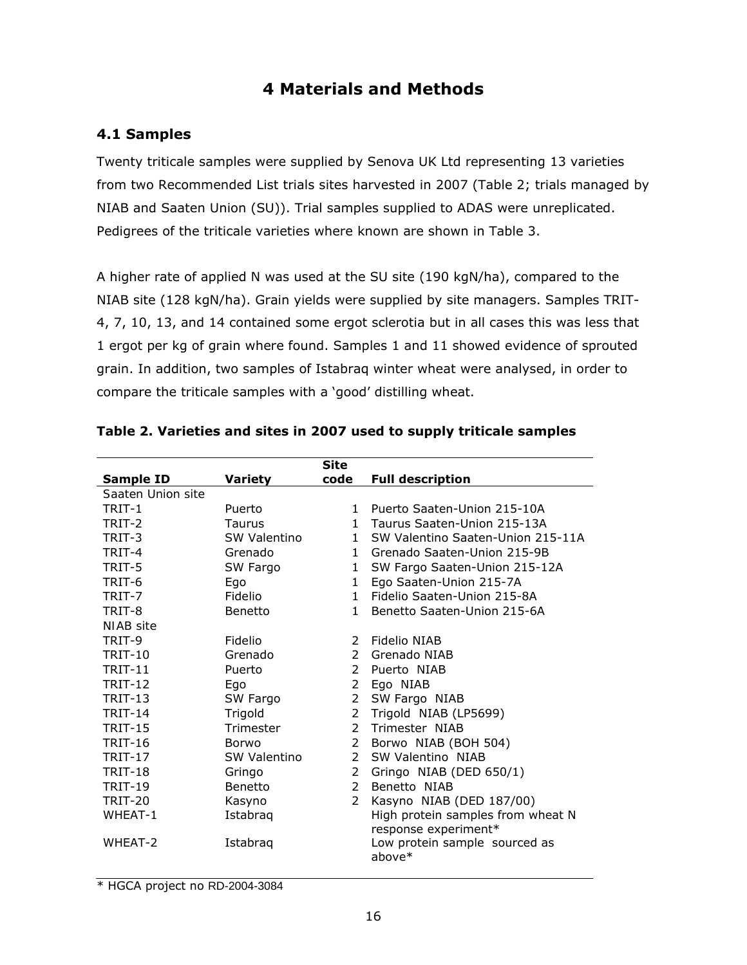## **4 Materials and Methods**

#### **4.1 Samples**

Twenty triticale samples were supplied by Senova UK Ltd representing 13 varieties from two Recommended List trials sites harvested in 2007 (Table 2; trials managed by NIAB and Saaten Union (SU)). Trial samples supplied to ADAS were unreplicated. Pedigrees of the triticale varieties where known are shown in Table 3.

A higher rate of applied N was used at the SU site (190 kgN/ha), compared to the NIAB site (128 kgN/ha). Grain yields were supplied by site managers. Samples TRIT-4, 7, 10, 13, and 14 contained some ergot sclerotia but in all cases this was less that 1 ergot per kg of grain where found. Samples 1 and 11 showed evidence of sprouted grain. In addition, two samples of Istabraq winter wheat were analysed, in order to compare the triticale samples with a 'good' distilling wheat.

|                   |                | <b>Site</b>    |                                   |
|-------------------|----------------|----------------|-----------------------------------|
| <b>Sample ID</b>  | <b>Variety</b> | code           | <b>Full description</b>           |
| Saaten Union site |                |                |                                   |
| TRIT-1            | Puerto         | 1              | Puerto Saaten-Union 215-10A       |
| TRIT-2            | Taurus         | $\mathbf{1}$   | Taurus Saaten-Union 215-13A       |
| TRIT-3            | SW Valentino   | $1 \quad$      | SW Valentino Saaten-Union 215-11A |
| TRIT-4            | Grenado        |                | 1 Grenado Saaten-Union 215-9B     |
| TRIT-5            | SW Fargo       | $\mathbf{1}$   | SW Fargo Saaten-Union 215-12A     |
| TRIT-6            | Ego            | $\mathbf{1}$   | Ego Saaten-Union 215-7A           |
| TRIT-7            | Fidelio        | $\mathbf{1}$   | Fidelio Saaten-Union 215-8A       |
| TRIT-8            | Benetto        | $\mathbf{1}$   | Benetto Saaten-Union 215-6A       |
| NIAB site         |                |                |                                   |
| TRIT-9            | Fidelio        | $\mathcal{P}$  | Fidelio NIAB                      |
| <b>TRIT-10</b>    | Grenado        | $\mathcal{P}$  | Grenado NIAB                      |
| <b>TRIT-11</b>    | Puerto         | $\mathcal{P}$  | Puerto NIAB                       |
| <b>TRIT-12</b>    | Ego            | $\mathbf{2}$   | Ego NIAB                          |
| <b>TRIT-13</b>    | SW Fargo       |                | 2 SW Fargo NIAB                   |
| <b>TRIT-14</b>    | Trigold        | $\overline{2}$ | Trigold NIAB (LP5699)             |
| <b>TRIT-15</b>    | Trimester      | $\mathcal{P}$  | Trimester NIAB                    |
| <b>TRIT-16</b>    | <b>Borwo</b>   |                | 2 Borwo NIAB (BOH 504)            |
| <b>TRIT-17</b>    | SW Valentino   | $\mathcal{P}$  | SW Valentino NIAB                 |
| <b>TRIT-18</b>    | Gringo         | 2              | Gringo NIAB (DED 650/1)           |
| <b>TRIT-19</b>    | Benetto        | $\mathcal{P}$  | Benetto NIAB                      |
| TRIT-20           | Kasyno         | $\mathbf{2}$   | Kasyno NIAB (DED 187/00)          |
| WHEAT-1           | Istabraq       |                | High protein samples from wheat N |
|                   |                |                | response experiment*              |
| WHEAT-2           | Istabraq       |                | Low protein sample sourced as     |
|                   |                |                | above*                            |

#### **Table 2. Varieties and sites in 2007 used to supply triticale samples**

\* HGCA project no RD-2004-3084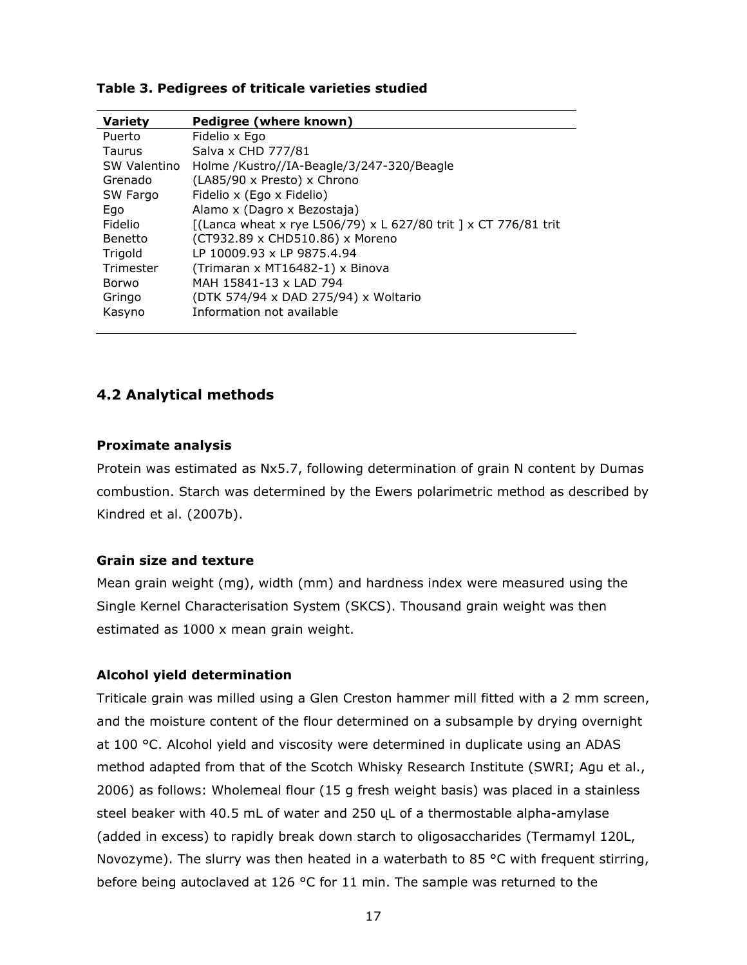| <b>Variety</b> | Pedigree (where known)                                          |
|----------------|-----------------------------------------------------------------|
| Puerto         | Fidelio x Ego                                                   |
| Taurus         | Salva x CHD 777/81                                              |
| SW Valentino   | Holme /Kustro//IA-Beagle/3/247-320/Beagle                       |
| Grenado        | (LA85/90 x Presto) x Chrono                                     |
| SW Fargo       | Fidelio x (Ego x Fidelio)                                       |
| Ego            | Alamo x (Dagro x Bezostaja)                                     |
| Fidelio        | [(Lanca wheat x rye L506/79) x L 627/80 trit ] x CT 776/81 trit |
| Benetto        | (CT932.89 x CHD510.86) x Moreno                                 |
| Trigold        | LP 10009.93 x LP 9875.4.94                                      |
| Trimester      | (Trimaran x MT16482-1) x Binova                                 |
| Borwo          | MAH 15841-13 x LAD 794                                          |
| Gringo         | (DTK 574/94 x DAD 275/94) x Woltario                            |
| Kasyno         | Information not available                                       |
|                |                                                                 |

#### **Table 3. Pedigrees of triticale varieties studied**

#### **4.2 Analytical methods**

#### **Proximate analysis**

Protein was estimated as Nx5.7, following determination of grain N content by Dumas combustion. Starch was determined by the Ewers polarimetric method as described by Kindred *et al*. (2007b).

#### **Grain size and texture**

Mean grain weight (mg), width (mm) and hardness index were measured using the Single Kernel Characterisation System (SKCS). Thousand grain weight was then estimated as 1000 x mean grain weight.

#### **Alcohol yield determination**

Triticale grain was milled using a Glen Creston hammer mill fitted with a 2 mm screen, and the moisture content of the flour determined on a subsample by drying overnight at 100 °C. Alcohol yield and viscosity were determined in duplicate using an ADAS method adapted from that of the Scotch Whisky Research Institute (SWRI; Agu *et al*., 2006) as follows: Wholemeal flour (15 g fresh weight basis) was placed in a stainless steel beaker with 40.5 mL of water and 250 ųL of a thermostable alpha-amylase (added in excess) to rapidly break down starch to oligosaccharides (Termamyl 120L, Novozyme). The slurry was then heated in a waterbath to 85  $\degree$ C with frequent stirring, before being autoclaved at 126 °C for 11 min. The sample was returned to the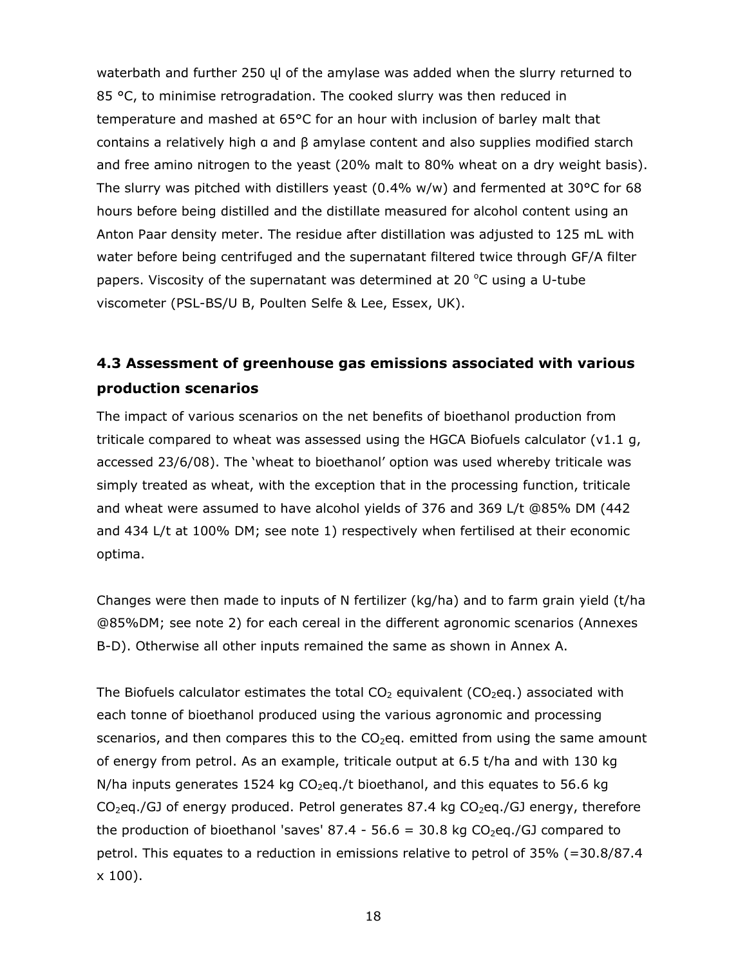waterbath and further 250 ųl of the amylase was added when the slurry returned to 85 °C, to minimise retrogradation. The cooked slurry was then reduced in temperature and mashed at 65°C for an hour with inclusion of barley malt that contains a relatively high α and β amylase content and also supplies modified starch and free amino nitrogen to the yeast (20% malt to 80% wheat on a dry weight basis). The slurry was pitched with distillers yeast  $(0.4\%$  w/w) and fermented at 30 $\degree$ C for 68 hours before being distilled and the distillate measured for alcohol content using an Anton Paar density meter. The residue after distillation was adjusted to 125 mL with water before being centrifuged and the supernatant filtered twice through GF/A filter papers. Viscosity of the supernatant was determined at 20  $^{\circ}$ C using a U-tube viscometer (PSL-BS/U B, Poulten Selfe & Lee, Essex, UK).

## **4.3 Assessment of greenhouse gas emissions associated with various production scenarios**

The impact of various scenarios on the net benefits of bioethanol production from triticale compared to wheat was assessed using the HGCA Biofuels calculator ( $v1.1 g$ , accessed 23/6/08). The 'wheat to bioethanol' option was used whereby triticale was simply treated as wheat, with the exception that in the processing function, triticale and wheat were assumed to have alcohol yields of 376 and 369 L/t @85% DM (442 and 434 L/t at 100% DM; see note 1) respectively when fertilised at their economic optima.

Changes were then made to inputs of N fertilizer (kg/ha) and to farm grain yield (t/ha @85%DM; see note 2) for each cereal in the different agronomic scenarios (Annexes B-D). Otherwise all other inputs remained the same as shown in Annex A.

The Biofuels calculator estimates the total  $CO<sub>2</sub>$  equivalent ( $CO<sub>2</sub>$ eq.) associated with each tonne of bioethanol produced using the various agronomic and processing scenarios, and then compares this to the  $CO<sub>2</sub>$ eq. emitted from using the same amount of energy from petrol. As an example, triticale output at 6.5 t/ha and with 130 kg  $N/ha$  inputs generates 1524 kg  $CO<sub>2</sub>eq./t$  bioethanol, and this equates to 56.6 kg  $CO<sub>2</sub>$ eq./GJ of energy produced. Petrol generates 87.4 kg  $CO<sub>2</sub>$ eq./GJ energy, therefore the production of bioethanol 'saves' 87.4 - 56.6 = 30.8 kg  $CO<sub>2</sub>$ eq./GJ compared to petrol. This equates to a reduction in emissions relative to petrol of 35% (=30.8/87.4 x 100).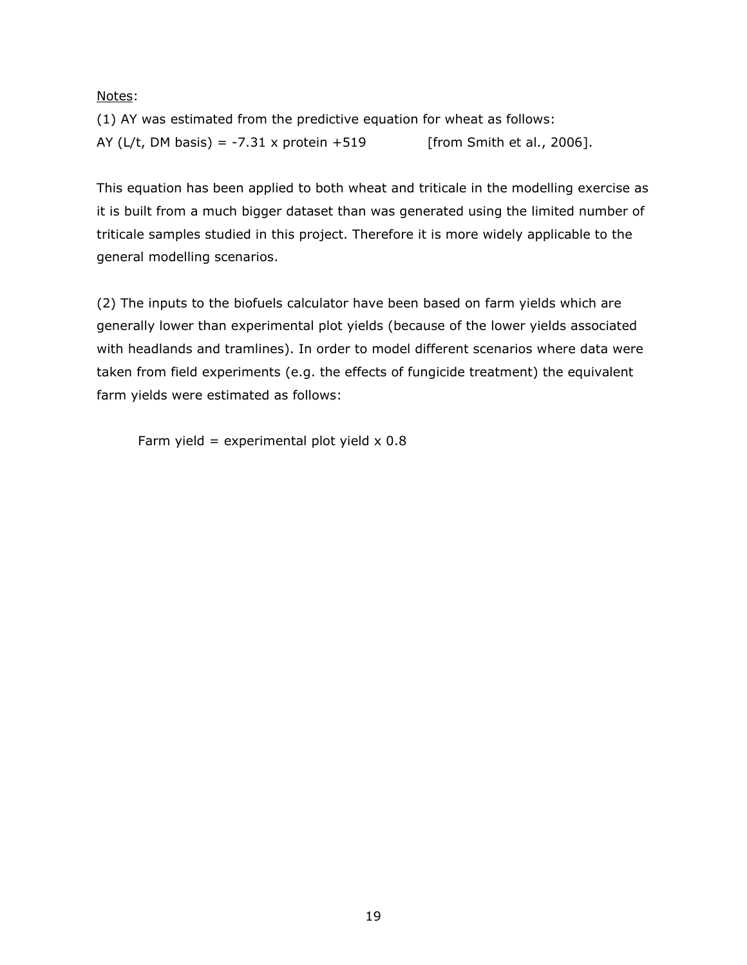#### Notes:

(1) AY was estimated from the predictive equation for wheat as follows: AY (L/t, DM basis) = -7.31 x protein +519 [from Smith *et al*., 2006].

This equation has been applied to both wheat and triticale in the modelling exercise as it is built from a much bigger dataset than was generated using the limited number of triticale samples studied in this project. Therefore it is more widely applicable to the general modelling scenarios.

(2) The inputs to the biofuels calculator have been based on farm yields which are generally lower than experimental plot yields (because of the lower yields associated with headlands and tramlines). In order to model different scenarios where data were taken from field experiments (e.g. the effects of fungicide treatment) the equivalent farm yields were estimated as follows:

Farm yield = experimental plot yield  $\times$  0.8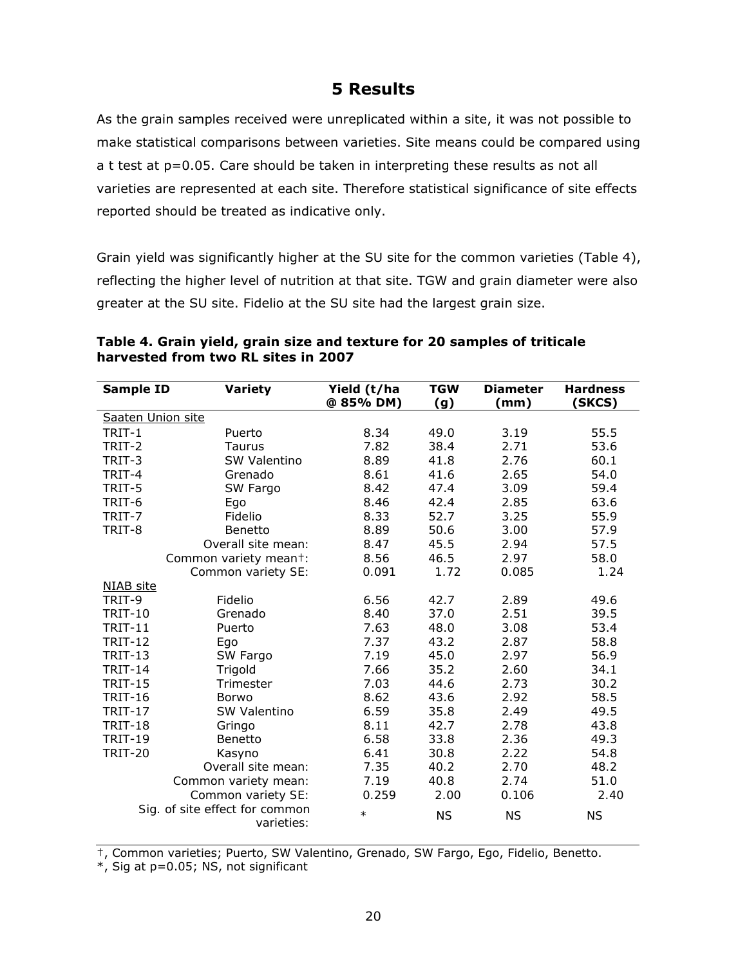## **5 Results**

As the grain samples received were unreplicated within a site, it was not possible to make statistical comparisons between varieties. Site means could be compared using a t test at p=0.05. Care should be taken in interpreting these results as not all varieties are represented at each site. Therefore statistical significance of site effects reported should be treated as indicative only.

Grain yield was significantly higher at the SU site for the common varieties (Table 4), reflecting the higher level of nutrition at that site. TGW and grain diameter were also greater at the SU site. Fidelio at the SU site had the largest grain size.

| <b>Sample ID</b>  | Variety                        | Yield (t/ha<br>@ 85% DM) | <b>TGW</b> | <b>Diameter</b><br>(mm) | <b>Hardness</b><br>(SKCS) |
|-------------------|--------------------------------|--------------------------|------------|-------------------------|---------------------------|
| Saaten Union site |                                |                          | <u>(g)</u> |                         |                           |
|                   |                                |                          |            |                         |                           |
| TRIT-1            | Puerto                         | 8.34                     | 49.0       | 3.19                    | 55.5                      |
| TRIT-2            | Taurus                         | 7.82                     | 38.4       | 2.71                    | 53.6                      |
| TRIT-3            | SW Valentino                   | 8.89                     | 41.8       | 2.76                    | 60.1                      |
| TRIT-4            | Grenado                        | 8.61                     | 41.6       | 2.65                    | 54.0                      |
| TRIT-5            | SW Fargo                       | 8.42                     | 47.4       | 3.09                    | 59.4                      |
| TRIT-6            | Ego                            | 8.46                     | 42.4       | 2.85                    | 63.6                      |
| TRIT-7            | Fidelio                        | 8.33                     | 52.7       | 3.25                    | 55.9                      |
| TRIT-8            | Benetto                        | 8.89                     | 50.6       | 3.00                    | 57.9                      |
|                   | Overall site mean:             | 8.47                     | 45.5       | 2.94                    | 57.5                      |
|                   | Common variety meant:          | 8.56                     | 46.5       | 2.97                    | 58.0                      |
|                   | Common variety SE:             | 0.091                    | 1.72       | 0.085                   | 1.24                      |
| NIAB site         |                                |                          |            |                         |                           |
| TRIT-9            | Fidelio                        | 6.56                     | 42.7       | 2.89                    | 49.6                      |
| <b>TRIT-10</b>    | Grenado                        | 8.40                     | 37.0       | 2.51                    | 39.5                      |
| <b>TRIT-11</b>    | Puerto                         | 7.63                     | 48.0       | 3.08                    | 53.4                      |
| <b>TRIT-12</b>    | Ego                            | 7.37                     | 43.2       | 2.87                    | 58.8                      |
| <b>TRIT-13</b>    | SW Fargo                       | 7.19                     | 45.0       | 2.97                    | 56.9                      |
| <b>TRIT-14</b>    | Trigold                        | 7.66                     | 35.2       | 2.60                    | 34.1                      |
| <b>TRIT-15</b>    | Trimester                      | 7.03                     | 44.6       | 2.73                    | 30.2                      |
| <b>TRIT-16</b>    | <b>Borwo</b>                   | 8.62                     | 43.6       | 2.92                    | 58.5                      |
| <b>TRIT-17</b>    | SW Valentino                   | 6.59                     | 35.8       | 2.49                    | 49.5                      |
| <b>TRIT-18</b>    | Gringo                         | 8.11                     | 42.7       | 2.78                    | 43.8                      |
| <b>TRIT-19</b>    | Benetto                        | 6.58                     | 33.8       | 2.36                    | 49.3                      |
| <b>TRIT-20</b>    | Kasyno                         | 6.41                     | 30.8       | 2.22                    | 54.8                      |
|                   | Overall site mean:             | 7.35                     | 40.2       | 2.70                    | 48.2                      |
|                   | Common variety mean:           | 7.19                     | 40.8       | 2.74                    | 51.0                      |
|                   | Common variety SE:             | 0.259                    | 2.00       | 0.106                   | 2.40                      |
|                   | Sig. of site effect for common | $\star$                  |            |                         |                           |
|                   | varieties:                     |                          | <b>NS</b>  | <b>NS</b>               | ΝS                        |

#### **Table 4. Grain yield, grain size and texture for 20 samples of triticale harvested from two RL sites in 2007**

†, Common varieties; Puerto, SW Valentino, Grenado, SW Fargo, Ego, Fidelio, Benetto.

\*, Sig at p=0.05; NS, not significant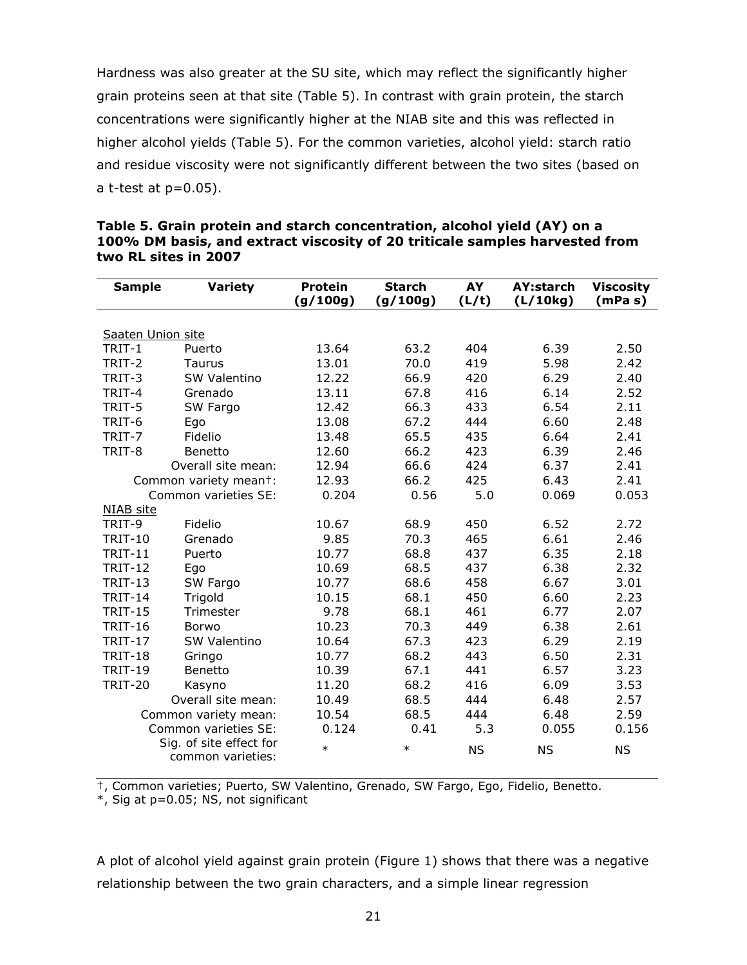Hardness was also greater at the SU site, which may reflect the significantly higher grain proteins seen at that site (Table 5). In contrast with grain protein, the starch concentrations were significantly higher at the NIAB site and this was reflected in higher alcohol yields (Table 5). For the common varieties, alcohol yield: starch ratio and residue viscosity were not significantly different between the two sites (based on a t-test at  $p=0.05$ ).

| <b>Sample</b>     | Variety                 | <b>Protein</b><br>(g/100g) | <b>Starch</b><br>(g/100g) | AY    | <b>AY:starch</b><br>(L/10kg) | <b>Viscosity</b><br>(mPa s) |
|-------------------|-------------------------|----------------------------|---------------------------|-------|------------------------------|-----------------------------|
|                   |                         |                            |                           | (L/t) |                              |                             |
|                   |                         |                            |                           |       |                              |                             |
| Saaten Union site |                         |                            |                           |       |                              |                             |
| TRIT-1            | Puerto                  | 13.64                      | 63.2                      | 404   | 6.39                         | 2.50                        |
| TRIT-2            | Taurus                  | 13.01                      | 70.0                      | 419   | 5.98                         | 2.42                        |
| TRIT-3            | <b>SW Valentino</b>     | 12.22                      | 66.9                      | 420   | 6.29                         | 2.40                        |
| TRIT-4            | Grenado                 | 13.11                      | 67.8                      | 416   | 6.14                         | 2.52                        |
| TRIT-5            | SW Fargo                | 12.42                      | 66.3                      | 433   | 6.54                         | 2.11                        |
| TRIT-6            | Ego                     | 13.08                      | 67.2                      | 444   | 6.60                         | 2.48                        |
| TRIT-7            | Fidelio                 | 13.48                      | 65.5                      | 435   | 6.64                         | 2.41                        |
| TRIT-8            | Benetto                 | 12.60                      | 66.2                      | 423   | 6.39                         | 2.46                        |
|                   | Overall site mean:      | 12.94                      | 66.6                      | 424   | 6.37                         | 2.41                        |
|                   | Common variety meant:   | 12.93                      | 66.2                      | 425   | 6.43                         | 2.41                        |
|                   | Common varieties SE:    | 0.204                      | 0.56                      | 5.0   | 0.069                        | 0.053                       |
| NIAB site         |                         |                            |                           |       |                              |                             |
| TRIT-9            | Fidelio                 | 10.67                      | 68.9                      | 450   | 6.52                         | 2.72                        |
| <b>TRIT-10</b>    | Grenado                 | 9.85                       | 70.3                      | 465   | 6.61                         | 2.46                        |
| <b>TRIT-11</b>    | Puerto                  | 10.77                      | 68.8                      | 437   | 6.35                         | 2.18                        |
| <b>TRIT-12</b>    | Ego                     | 10.69                      | 68.5                      | 437   | 6.38                         | 2.32                        |
| <b>TRIT-13</b>    | SW Fargo                | 10.77                      | 68.6                      | 458   | 6.67                         | 3.01                        |
| <b>TRIT-14</b>    | Trigold                 | 10.15                      | 68.1                      | 450   | 6.60                         | 2.23                        |
| <b>TRIT-15</b>    | Trimester               | 9.78                       | 68.1                      | 461   | 6.77                         | 2.07                        |
| <b>TRIT-16</b>    | <b>Borwo</b>            | 10.23                      | 70.3                      | 449   | 6.38                         | 2.61                        |
| <b>TRIT-17</b>    | SW Valentino            | 10.64                      | 67.3                      | 423   | 6.29                         | 2.19                        |
| <b>TRIT-18</b>    | Gringo                  | 10.77                      | 68.2                      | 443   | 6.50                         | 2.31                        |
| <b>TRIT-19</b>    | Benetto                 | 10.39                      | 67.1                      | 441   | 6.57                         | 3.23                        |
| <b>TRIT-20</b>    | Kasyno                  | 11.20                      | 68.2                      | 416   | 6.09                         | 3.53                        |
|                   | Overall site mean:      | 10.49                      | 68.5                      | 444   | 6.48                         | 2.57                        |
|                   | Common variety mean:    | 10.54                      | 68.5                      | 444   | 6.48                         | 2.59                        |
|                   | Common varieties SE:    | 0.124                      | 0.41                      | 5.3   | 0.055                        | 0.156                       |
|                   | Sig. of site effect for |                            |                           |       |                              |                             |
| common varieties: |                         | $\star$                    | $\star$                   | NS    | <b>NS</b>                    | NS                          |

#### **Table 5. Grain protein and starch concentration, alcohol yield (AY) on a 100% DM basis, and extract viscosity of 20 triticale samples harvested from two RL sites in 2007**

†, Common varieties; Puerto, SW Valentino, Grenado, SW Fargo, Ego, Fidelio, Benetto.

\*, Sig at p=0.05; NS, not significant

A plot of alcohol yield against grain protein (Figure 1) shows that there was a negative relationship between the two grain characters, and a simple linear regression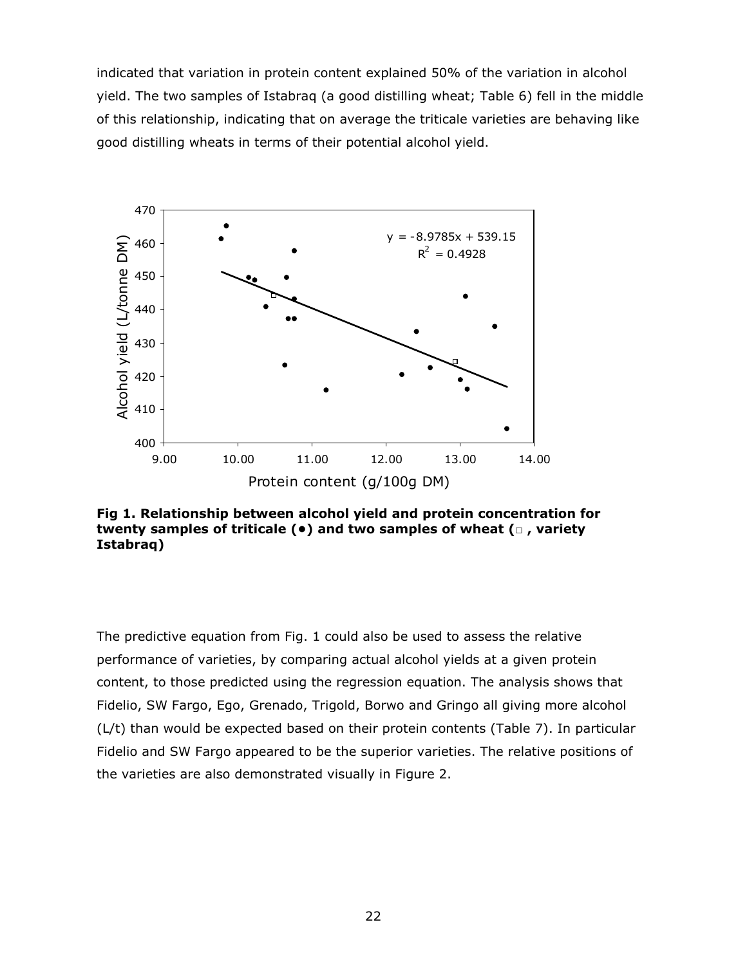indicated that variation in protein content explained 50% of the variation in alcohol yield. The two samples of Istabraq (a good distilling wheat; Table 6) fell in the middle of this relationship, indicating that on average the triticale varieties are behaving like good distilling wheats in terms of their potential alcohol yield.



**Fig 1. Relationship between alcohol yield and protein concentration for twenty samples of triticale (•) and two samples of wheat (□ , variety Istabraq)** 

The predictive equation from Fig. 1 could also be used to assess the relative performance of varieties, by comparing actual alcohol yields at a given protein content, to those predicted using the regression equation. The analysis shows that Fidelio, SW Fargo, Ego, Grenado, Trigold, Borwo and Gringo all giving more alcohol (L/t) than would be expected based on their protein contents (Table 7). In particular Fidelio and SW Fargo appeared to be the superior varieties. The relative positions of the varieties are also demonstrated visually in Figure 2.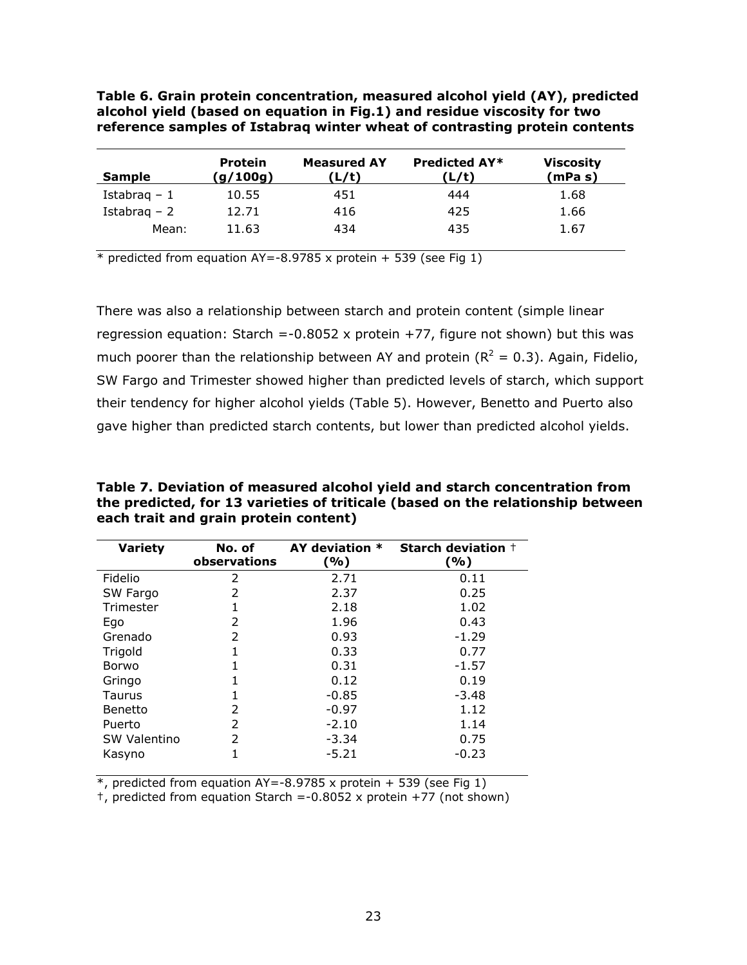**Table 6. Grain protein concentration, measured alcohol yield (AY), predicted alcohol yield (based on equation in Fig.1) and residue viscosity for two reference samples of Istabraq winter wheat of contrasting protein contents** 

| <b>Sample</b> | <b>Protein</b><br>(g/100g) | <b>Measured AY</b><br>(L/t) | <b>Predicted AY*</b><br>'L/t) | <b>Viscosity</b><br>(mPa s) |
|---------------|----------------------------|-----------------------------|-------------------------------|-----------------------------|
| Istabrag $-1$ | 10.55                      | 451                         | 444                           | 1.68                        |
| Istabrag – 2  | 12.71                      | 416                         | 425                           | 1.66                        |
| Mean:         | 11.63                      | 4.34                        | 435                           | 1.67                        |

 $*$  predicted from equation AY=-8.9785 x protein + 539 (see Fig 1)

There was also a relationship between starch and protein content (simple linear regression equation: Starch =-0.8052 x protein  $+77$ , figure not shown) but this was much poorer than the relationship between AY and protein ( $R^2 = 0.3$ ). Again, Fidelio, SW Fargo and Trimester showed higher than predicted levels of starch, which support their tendency for higher alcohol yields (Table 5). However, Benetto and Puerto also gave higher than predicted starch contents, but lower than predicted alcohol yields.

**Table 7. Deviation of measured alcohol yield and starch concentration from the predicted, for 13 varieties of triticale (based on the relationship between each trait and grain protein content)** 

| Variety             | No. of<br>observations | AY deviation *<br>(%) | <b>Starch deviation +</b><br>(%) |
|---------------------|------------------------|-----------------------|----------------------------------|
| Fidelio             | 2                      | 2.71                  | 0.11                             |
| SW Fargo            | 2                      | 2.37                  | 0.25                             |
| Trimester           | 1                      | 2.18                  | 1.02                             |
| Ego                 | 2                      | 1.96                  | 0.43                             |
| Grenado             | 2                      | 0.93                  | $-1.29$                          |
| Trigold             | 1                      | 0.33                  | 0.77                             |
| Borwo               |                        | 0.31                  | $-1.57$                          |
| Gringo              | 1                      | 0.12                  | 0.19                             |
| Taurus              | 1                      | $-0.85$               | $-3.48$                          |
| <b>Benetto</b>      | 2                      | $-0.97$               | 1.12                             |
| Puerto              | 2                      | $-2.10$               | 1.14                             |
| <b>SW Valentino</b> | 2                      | $-3.34$               | 0.75                             |
| Kasyno              | 1                      | $-5.21$               | $-0.23$                          |

 $*$ , predicted from equation AY = -8.9785 x protein + 539 (see Fig 1)

 $\dagger$ , predicted from equation Starch =-0.8052 x protein +77 (not shown)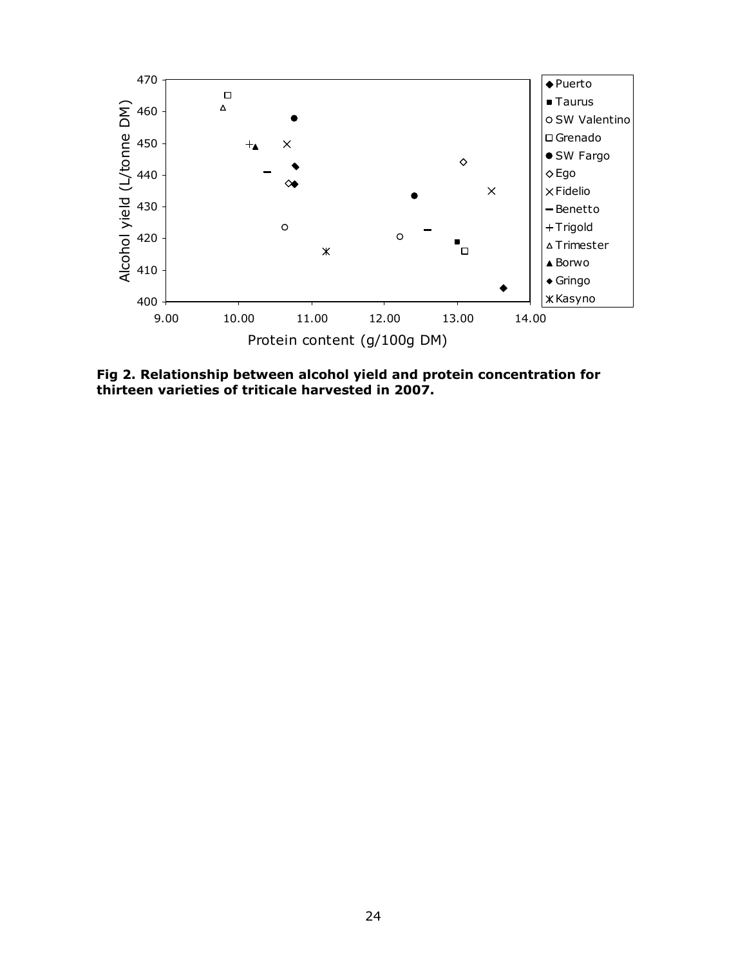

**Fig 2. Relationship between alcohol yield and protein concentration for thirteen varieties of triticale harvested in 2007.**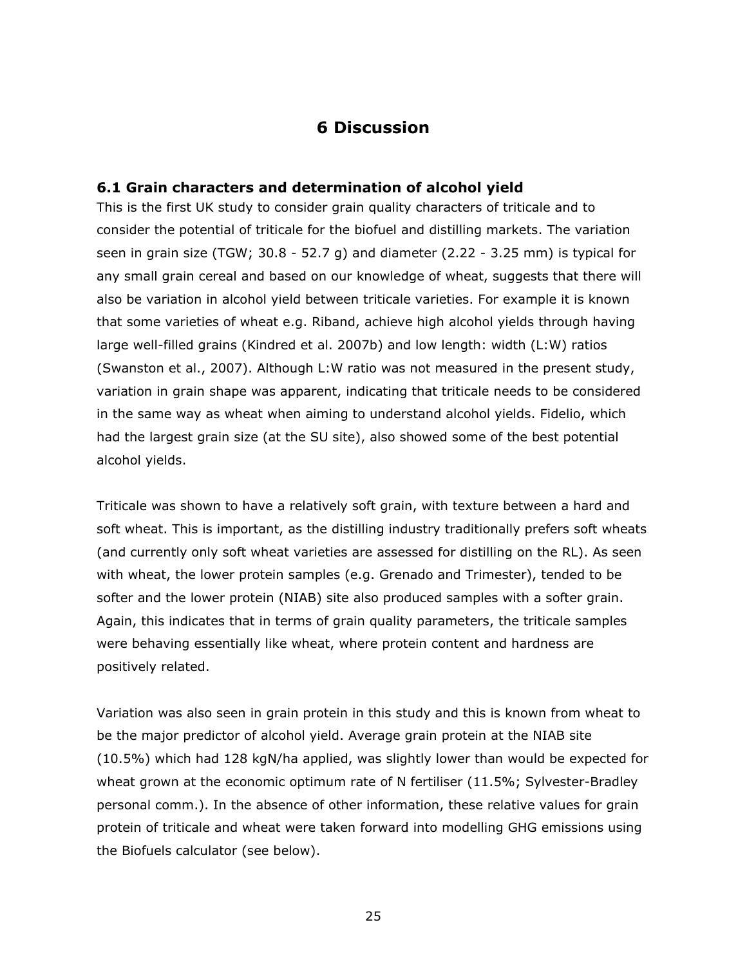### **6 Discussion**

#### **6.1 Grain characters and determination of alcohol yield**

This is the first UK study to consider grain quality characters of triticale and to consider the potential of triticale for the biofuel and distilling markets. The variation seen in grain size (TGW; 30.8 - 52.7 g) and diameter (2.22 - 3.25 mm) is typical for any small grain cereal and based on our knowledge of wheat, suggests that there will also be variation in alcohol yield between triticale varieties. For example it is known that some varieties of wheat e.g. Riband, achieve high alcohol yields through having large well-filled grains (Kindred *et al*. 2007b) and low length: width (L:W) ratios (Swanston *et al*., 2007). Although L:W ratio was not measured in the present study, variation in grain shape was apparent, indicating that triticale needs to be considered in the same way as wheat when aiming to understand alcohol yields. Fidelio, which had the largest grain size (at the SU site), also showed some of the best potential alcohol yields.

Triticale was shown to have a relatively soft grain, with texture between a hard and soft wheat. This is important, as the distilling industry traditionally prefers soft wheats (and currently only soft wheat varieties are assessed for distilling on the RL). As seen with wheat, the lower protein samples (e.g. Grenado and Trimester), tended to be softer and the lower protein (NIAB) site also produced samples with a softer grain. Again, this indicates that in terms of grain quality parameters, the triticale samples were behaving essentially like wheat, where protein content and hardness are positively related.

Variation was also seen in grain protein in this study and this is known from wheat to be the major predictor of alcohol yield. Average grain protein at the NIAB site (10.5%) which had 128 kgN/ha applied, was slightly lower than would be expected for wheat grown at the economic optimum rate of N fertiliser (11.5%; Sylvester-Bradley personal comm.). In the absence of other information, these relative values for grain protein of triticale and wheat were taken forward into modelling GHG emissions using the Biofuels calculator (see below).

<u>25 and 25 and 26 and 26 and 26 and 26 and 26 and 26 and 26 and 26 and 26 and 26 and 26 and 26 and 26 and 26 and 26 and 26 and 26 and 26 and 26 and 26 and 26 and 26 and 26 and 26 and 26 and 26 and 26 and 26 and 27 and 27 a</u>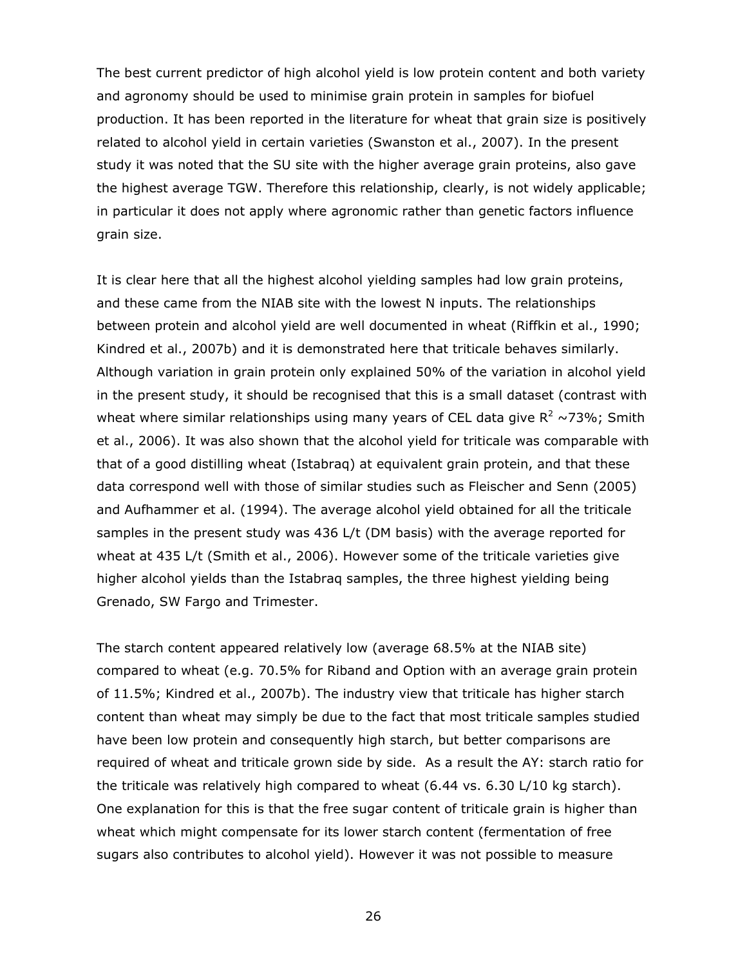The best current predictor of high alcohol yield is low protein content and both variety and agronomy should be used to minimise grain protein in samples for biofuel production. It has been reported in the literature for wheat that grain size is positively related to alcohol yield in certain varieties (Swanston *et al*., 2007). In the present study it was noted that the SU site with the higher average grain proteins, also gave the highest average TGW. Therefore this relationship, clearly, is not widely applicable; in particular it does not apply where agronomic rather than genetic factors influence grain size.

It is clear here that all the highest alcohol yielding samples had low grain proteins, and these came from the NIAB site with the lowest N inputs. The relationships between protein and alcohol yield are well documented in wheat (Riffkin *et al*., 1990; Kindred *et al*., 2007b) and it is demonstrated here that triticale behaves similarly. Although variation in grain protein only explained 50% of the variation in alcohol yield in the present study, it should be recognised that this is a small dataset (contrast with wheat where similar relationships using many years of CEL data give  $R^2 \sim 73\%$ ; Smith *et al*., 2006). It was also shown that the alcohol yield for triticale was comparable with that of a good distilling wheat (Istabraq) at equivalent grain protein, and that these data correspond well with those of similar studies such as Fleischer and Senn (2005) and Aufhammer *et al*. (1994). The average alcohol yield obtained for all the triticale samples in the present study was 436 L/t (DM basis) with the average reported for wheat at 435 L/t (Smith *et al*., 2006). However some of the triticale varieties give higher alcohol yields than the Istabraq samples, the three highest yielding being Grenado, SW Fargo and Trimester.

The starch content appeared relatively low (average 68.5% at the NIAB site) compared to wheat (e.g. 70.5% for Riband and Option with an average grain protein of 11.5%; Kindred *et al*., 2007b). The industry view that triticale has higher starch content than wheat may simply be due to the fact that most triticale samples studied have been low protein and consequently high starch, but better comparisons are required of wheat and triticale grown side by side. As a result the AY: starch ratio for the triticale was relatively high compared to wheat (6.44 vs. 6.30 L/10 kg starch). One explanation for this is that the free sugar content of triticale grain is higher than wheat which might compensate for its lower starch content (fermentation of free sugars also contributes to alcohol yield). However it was not possible to measure

26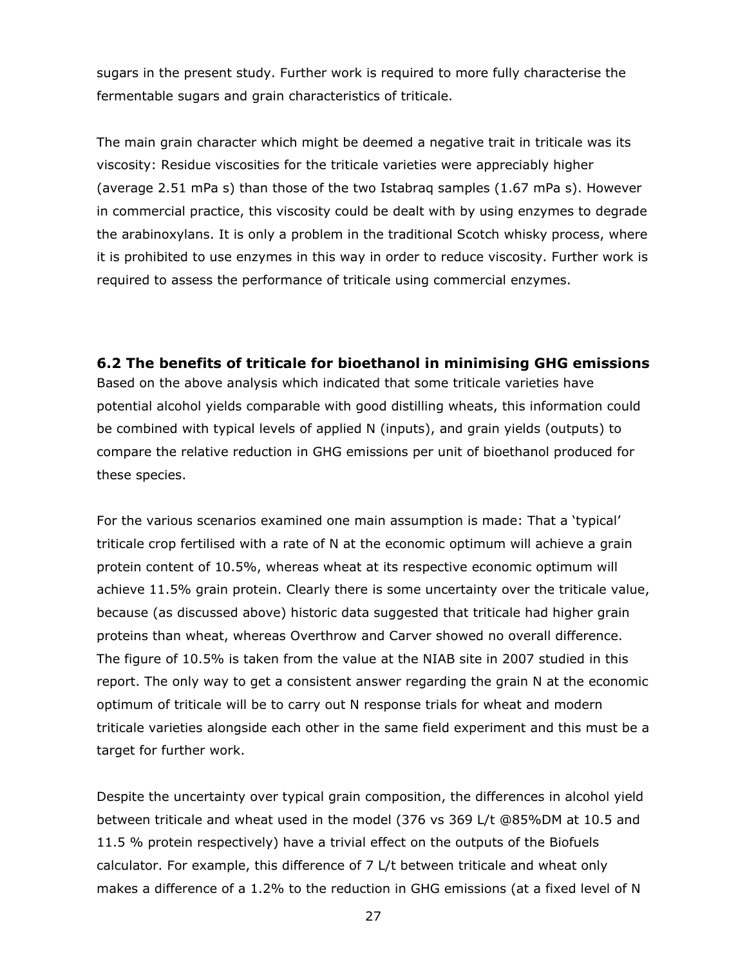sugars in the present study. Further work is required to more fully characterise the fermentable sugars and grain characteristics of triticale.

The main grain character which might be deemed a negative trait in triticale was its viscosity: Residue viscosities for the triticale varieties were appreciably higher (average 2.51 mPa s) than those of the two Istabraq samples (1.67 mPa s). However in commercial practice, this viscosity could be dealt with by using enzymes to degrade the arabinoxylans. It is only a problem in the traditional Scotch whisky process, where it is prohibited to use enzymes in this way in order to reduce viscosity. Further work is required to assess the performance of triticale using commercial enzymes.

#### **6.2 The benefits of triticale for bioethanol in minimising GHG emissions**

Based on the above analysis which indicated that some triticale varieties have potential alcohol yields comparable with good distilling wheats, this information could be combined with typical levels of applied N (inputs), and grain yields (outputs) to compare the relative reduction in GHG emissions per unit of bioethanol produced for these species.

For the various scenarios examined one main assumption is made: That a 'typical' triticale crop fertilised with a rate of N at the economic optimum will achieve a grain protein content of 10.5%, whereas wheat at its respective economic optimum will achieve 11.5% grain protein. Clearly there is some uncertainty over the triticale value, because (as discussed above) historic data suggested that triticale had higher grain proteins than wheat, whereas Overthrow and Carver showed no overall difference. The figure of 10.5% is taken from the value at the NIAB site in 2007 studied in this report. The only way to get a consistent answer regarding the grain N at the economic optimum of triticale will be to carry out N response trials for wheat and modern triticale varieties alongside each other in the same field experiment and this must be a target for further work.

Despite the uncertainty over typical grain composition, the differences in alcohol yield between triticale and wheat used in the model (376 vs 369 L/t @85%DM at 10.5 and 11.5 % protein respectively) have a trivial effect on the outputs of the Biofuels calculator. For example, this difference of 7 L/t between triticale and wheat only makes a difference of a 1.2% to the reduction in GHG emissions (at a fixed level of N

<u>27 and 27</u>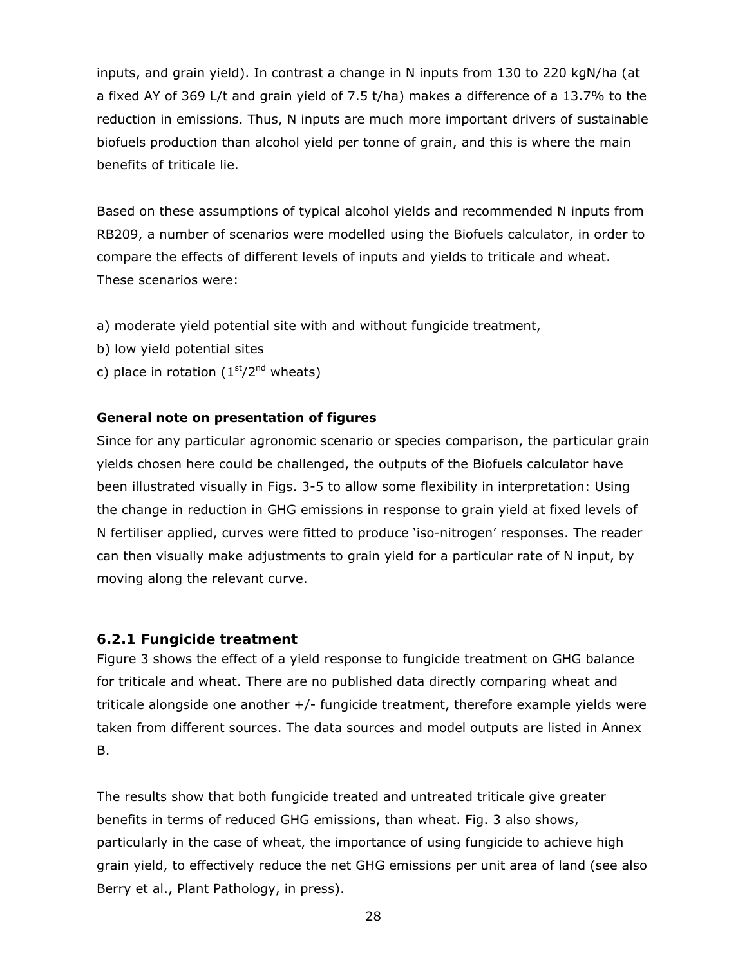inputs, and grain yield). In contrast a change in N inputs from 130 to 220 kgN/ha (at a fixed AY of 369 L/t and grain yield of 7.5 t/ha) makes a difference of a 13.7% to the reduction in emissions. Thus, N inputs are much more important drivers of sustainable biofuels production than alcohol yield per tonne of grain, and this is where the main benefits of triticale lie.

Based on these assumptions of typical alcohol yields and recommended N inputs from RB209, a number of scenarios were modelled using the Biofuels calculator, in order to compare the effects of different levels of inputs and yields to triticale and wheat. These scenarios were:

- a) moderate yield potential site with and without fungicide treatment,
- b) low yield potential sites
- c) place in rotation  $(1<sup>st</sup>/2<sup>nd</sup>$  wheats)

#### **General note on presentation of figures**

Since for any particular agronomic scenario or species comparison, the particular grain yields chosen here could be challenged, the outputs of the Biofuels calculator have been illustrated visually in Figs. 3-5 to allow some flexibility in interpretation: Using the change in reduction in GHG emissions in response to grain yield at fixed levels of N fertiliser applied, curves were fitted to produce 'iso-nitrogen' responses. The reader can then visually make adjustments to grain yield for a particular rate of N input, by moving along the relevant curve.

#### *6.2.1 Fungicide treatment*

Figure 3 shows the effect of a yield response to fungicide treatment on GHG balance for triticale and wheat. There are no published data directly comparing wheat and triticale alongside one another  $+/-$  fungicide treatment, therefore example yields were taken from different sources. The data sources and model outputs are listed in Annex B.

The results show that both fungicide treated and untreated triticale give greater benefits in terms of reduced GHG emissions, than wheat. Fig. 3 also shows, particularly in the case of wheat, the importance of using fungicide to achieve high grain yield, to effectively reduce the net GHG emissions per unit area of land (see also Berry *et al*., Plant Pathology, in press).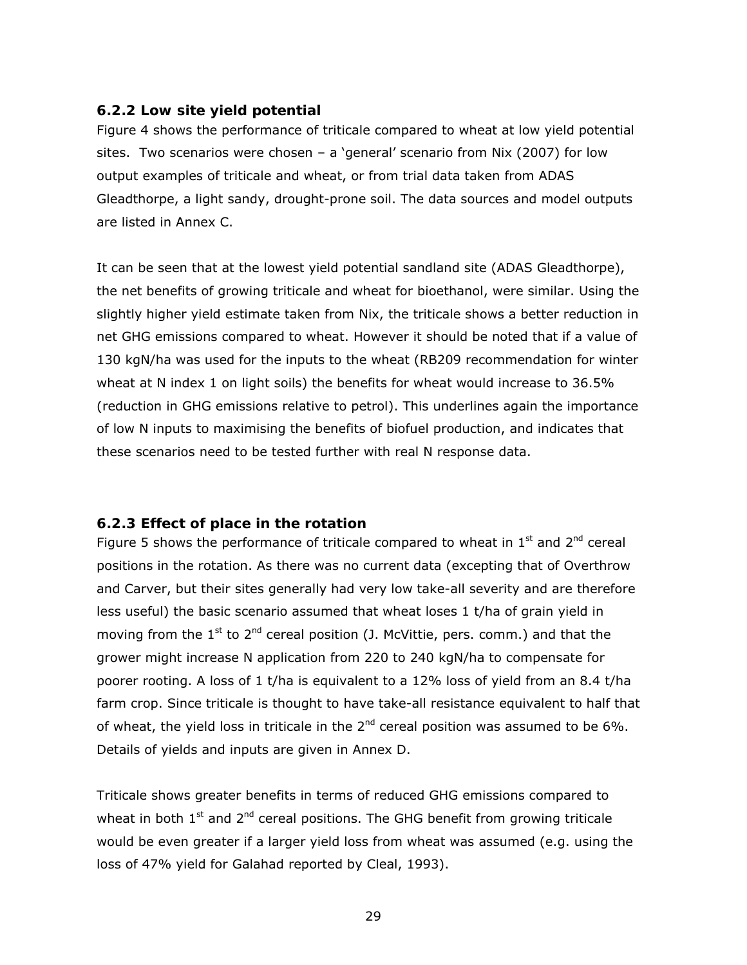#### *6.2.2 Low site yield potential*

Figure 4 shows the performance of triticale compared to wheat at low yield potential sites. Two scenarios were chosen – a 'general' scenario from Nix (2007) for low output examples of triticale and wheat, or from trial data taken from ADAS Gleadthorpe, a light sandy, drought-prone soil. The data sources and model outputs are listed in Annex C.

It can be seen that at the lowest yield potential sandland site (ADAS Gleadthorpe), the net benefits of growing triticale and wheat for bioethanol, were similar. Using the slightly higher yield estimate taken from Nix, the triticale shows a better reduction in net GHG emissions compared to wheat. However it should be noted that if a value of 130 kgN/ha was used for the inputs to the wheat (RB209 recommendation for winter wheat at N index 1 on light soils) the benefits for wheat would increase to 36.5% (reduction in GHG emissions relative to petrol). This underlines again the importance of low N inputs to maximising the benefits of biofuel production, and indicates that these scenarios need to be tested further with real N response data.

#### *6.2.3 Effect of place in the rotation*

Figure 5 shows the performance of triticale compared to wheat in  $1<sup>st</sup>$  and  $2<sup>nd</sup>$  cereal positions in the rotation. As there was no current data (excepting that of Overthrow and Carver, but their sites generally had very low take-all severity and are therefore less useful) the basic scenario assumed that wheat loses 1 t/ha of grain yield in moving from the  $1^{st}$  to  $2^{nd}$  cereal position (J. McVittie, pers. comm.) and that the grower might increase N application from 220 to 240 kgN/ha to compensate for poorer rooting. A loss of 1 t/ha is equivalent to a 12% loss of yield from an 8.4 t/ha farm crop. Since triticale is thought to have take-all resistance equivalent to half that of wheat, the yield loss in triticale in the  $2^{nd}$  cereal position was assumed to be 6%. Details of yields and inputs are given in Annex D.

Triticale shows greater benefits in terms of reduced GHG emissions compared to wheat in both  $1<sup>st</sup>$  and  $2<sup>nd</sup>$  cereal positions. The GHG benefit from growing triticale would be even greater if a larger yield loss from wheat was assumed (e.g. using the loss of 47% yield for Galahad reported by Cleal, 1993).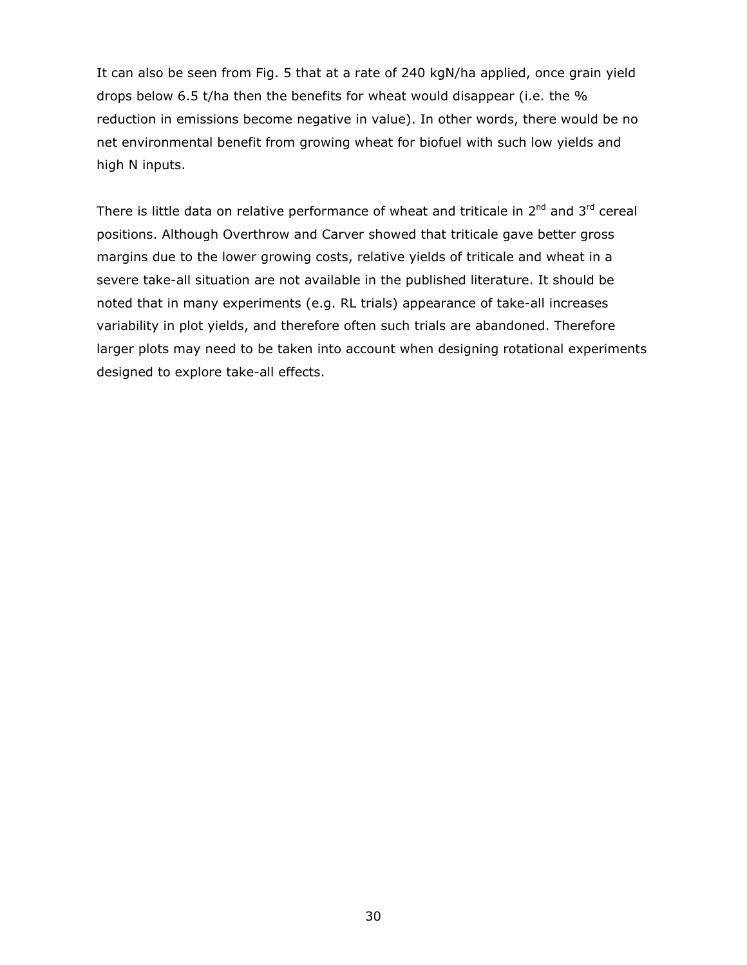It can also be seen from Fig. 5 that at a rate of 240 kgN/ha applied, once grain yield drops below 6.5 t/ha then the benefits for wheat would disappear (i.e. the % reduction in emissions become negative in value). In other words, there would be no net environmental benefit from growing wheat for biofuel with such low yields and high N inputs.

There is little data on relative performance of wheat and triticale in  $2^{nd}$  and  $3^{rd}$  cereal positions. Although Overthrow and Carver showed that triticale gave better gross margins due to the lower growing costs, relative yields of triticale and wheat in a severe take-all situation are not available in the published literature. It should be noted that in many experiments (e.g. RL trials) appearance of take-all increases variability in plot yields, and therefore often such trials are abandoned. Therefore larger plots may need to be taken into account when designing rotational experiments designed to explore take-all effects.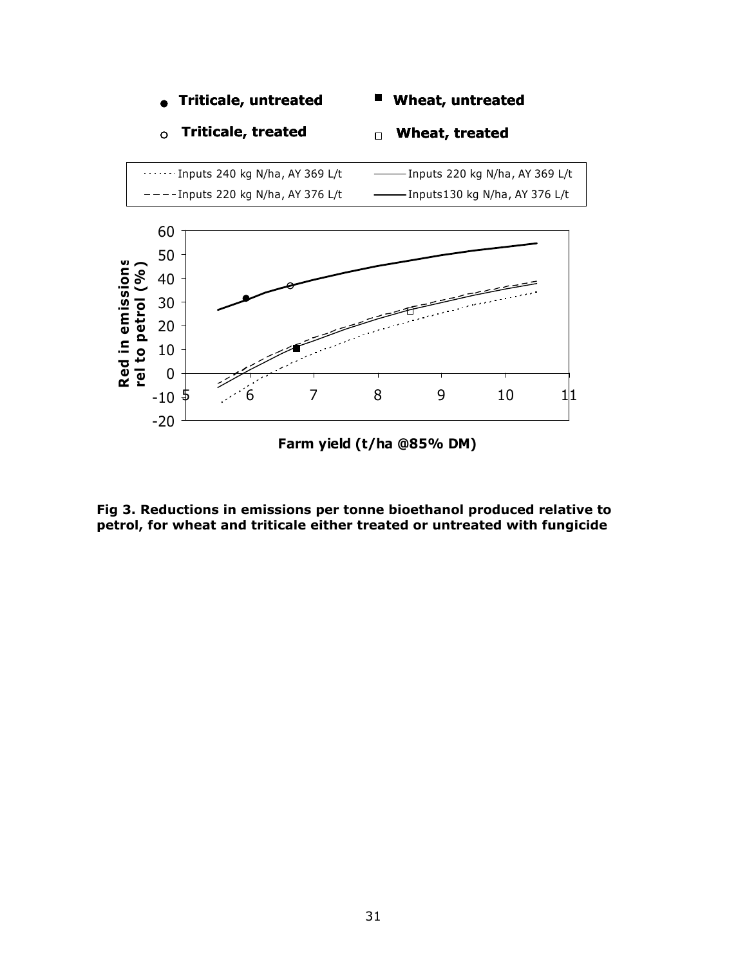

**Fig 3. Reductions in emissions per tonne bioethanol produced relative to petrol, for wheat and triticale either treated or untreated with fungicide**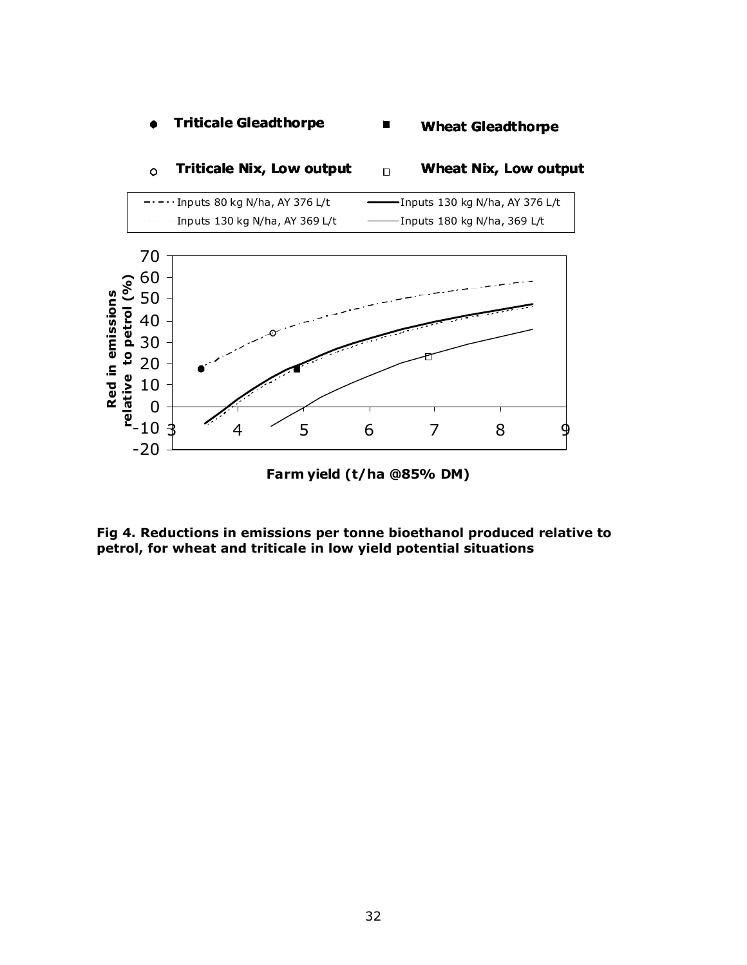#### **Triticale Gleadthorpe**  $\bullet$ п **Wheat Gleadthorpe**



#### **Triticale Nix, Low output Wheat Nix, Low output**  $\Box$  $\circ$

**Fig 4. Reductions in emissions per tonne bioethanol produced relative to petrol, for wheat and triticale in low yield potential situations**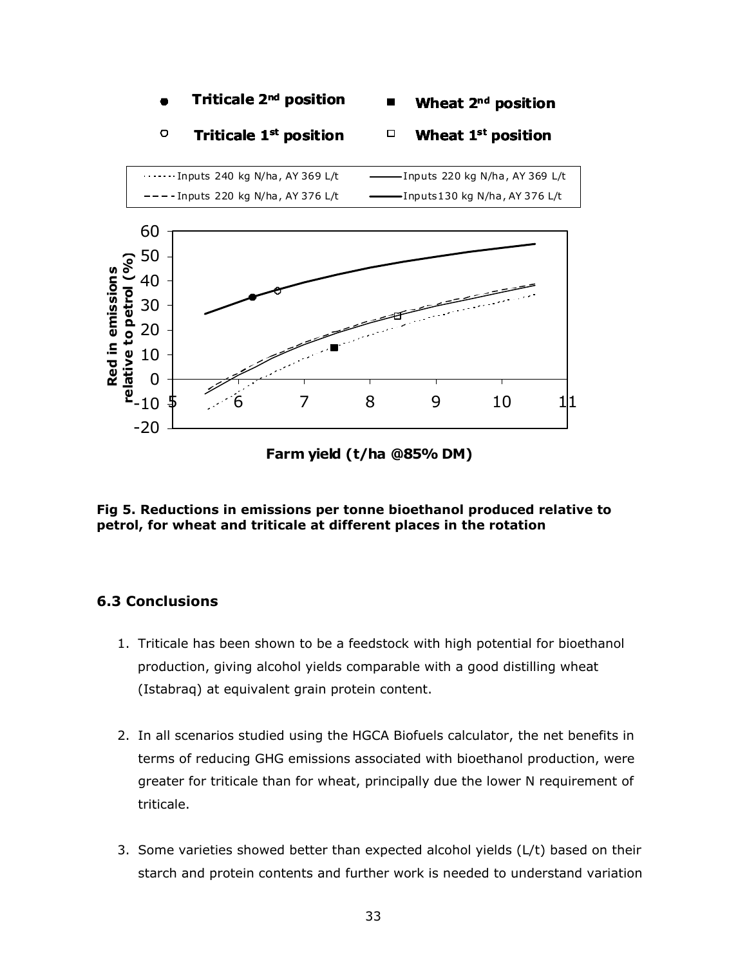

**Fig 5. Reductions in emissions per tonne bioethanol produced relative to petrol, for wheat and triticale at different places in the rotation**

#### **6.3 Conclusions**

- 1. Triticale has been shown to be a feedstock with high potential for bioethanol production, giving alcohol yields comparable with a good distilling wheat (Istabraq) at equivalent grain protein content.
- 2. In all scenarios studied using the HGCA Biofuels calculator, the net benefits in terms of reducing GHG emissions associated with bioethanol production, were greater for triticale than for wheat, principally due the lower N requirement of triticale.
- 3. Some varieties showed better than expected alcohol yields (L/t) based on their starch and protein contents and further work is needed to understand variation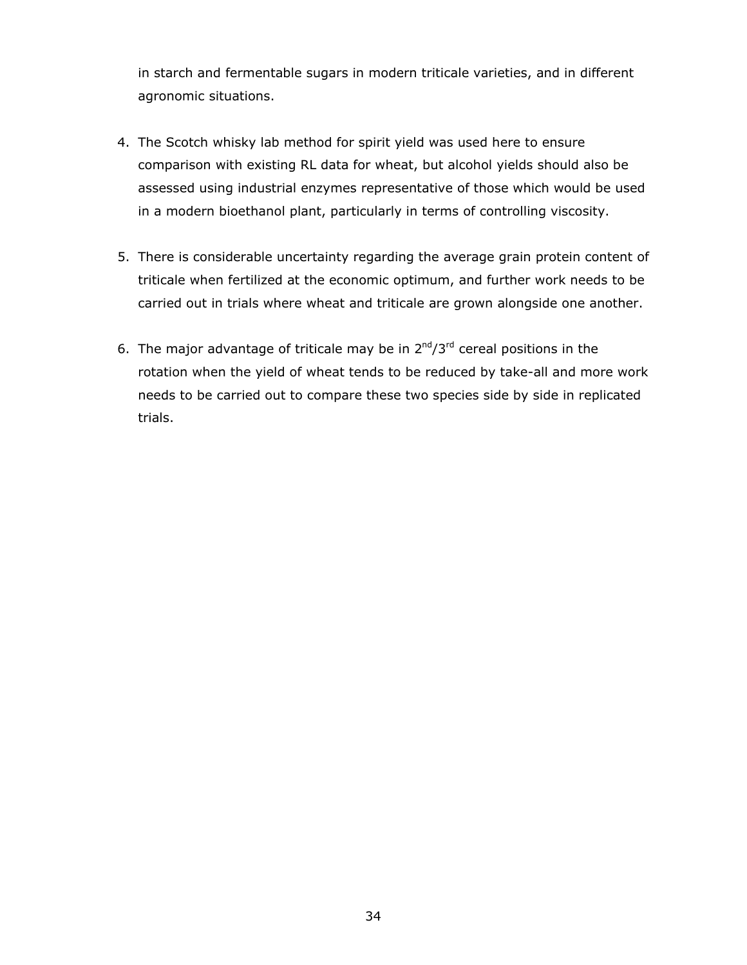in starch and fermentable sugars in modern triticale varieties, and in different agronomic situations.

- 4. The Scotch whisky lab method for spirit yield was used here to ensure comparison with existing RL data for wheat, but alcohol yields should also be assessed using industrial enzymes representative of those which would be used in a modern bioethanol plant, particularly in terms of controlling viscosity.
- 5. There is considerable uncertainty regarding the average grain protein content of triticale when fertilized at the economic optimum, and further work needs to be carried out in trials where wheat and triticale are grown alongside one another.
- 6. The major advantage of triticale may be in  $2^{nd}/3^{rd}$  cereal positions in the rotation when the yield of wheat tends to be reduced by take-all and more work needs to be carried out to compare these two species side by side in replicated trials.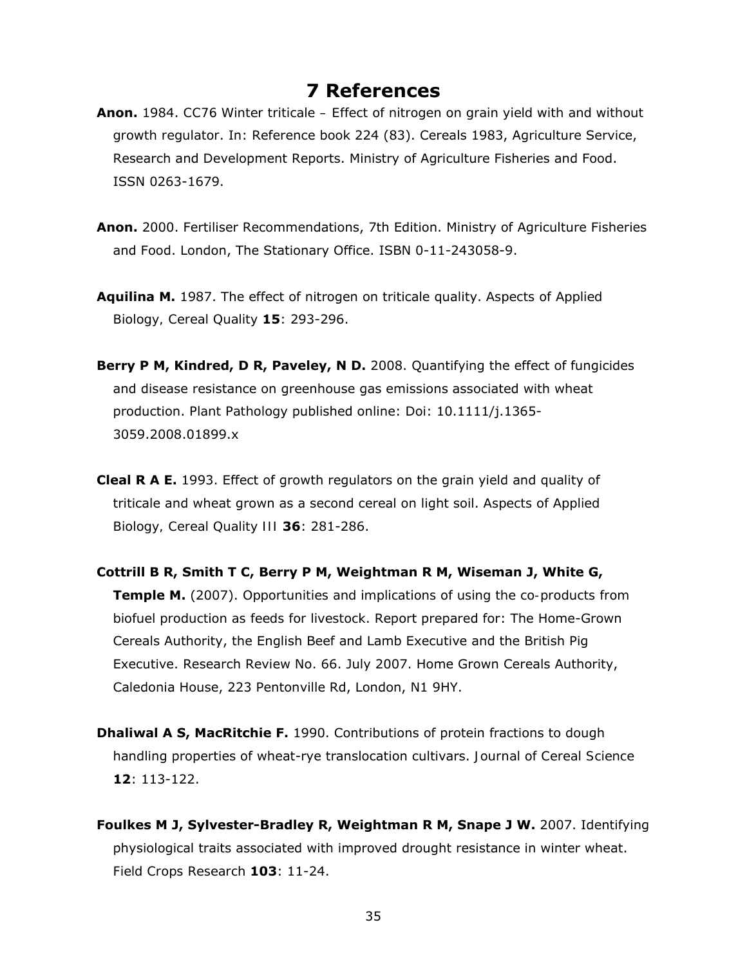## **7 References**

- **Anon.** 1984. *CC76 Winter triticale Effect of nitrogen on grain yield with and without growth regulator*. In: Reference book 224 (83). Cereals 1983, Agriculture Service, Research and Development Reports. Ministry of Agriculture Fisheries and Food. ISSN 0263-1679.
- **Anon.** 2000. Fertiliser Recommendations, 7th Edition. Ministry of Agriculture Fisheries and Food. London, The Stationary Office. ISBN 0-11-243058-9.
- **Aquilina M.** 1987. The effect of nitrogen on triticale quality. *Aspects of Applied Biology, Cereal Quality* **15**: 293-296.
- **Berry P M, Kindred, D R, Paveley, N D.** 2008. Quantifying the effect of fungicides and disease resistance on greenhouse gas emissions associated with wheat production. *Plant Pathology* published online: Doi: 10.1111/j.1365- 3059.2008.01899.x
- **Cleal R A E.** 1993. Effect of growth regulators on the grain yield and quality of triticale and wheat grown as a second cereal on light soil. *Aspects of Applied Biology, Cereal Quality III* **36**: 281-286.
- **Cottrill B R, Smith T C, Berry P M, Weightman R M, Wiseman J, White G, Temple M.** (2007). *Opportunities and implications of using the co-products from biofuel production as feeds for livestock*. Report prepared for: The Home-Grown Cereals Authority, the English Beef and Lamb Executive and the British Pig Executive. Research Review No. 66. July 2007. Home Grown Cereals Authority, Caledonia House, 223 Pentonville Rd, London, N1 9HY.
- **Dhaliwal A S, MacRitchie F.** 1990. Contributions of protein fractions to dough handling properties of wheat-rye translocation cultivars. *Journal of Cereal Science* **12**: 113-122.
- **Foulkes M J, Sylvester-Bradley R, Weightman R M, Snape J W.** 2007. Identifying physiological traits associated with improved drought resistance in winter wheat. *Field Crops Research* **103**: 11-24.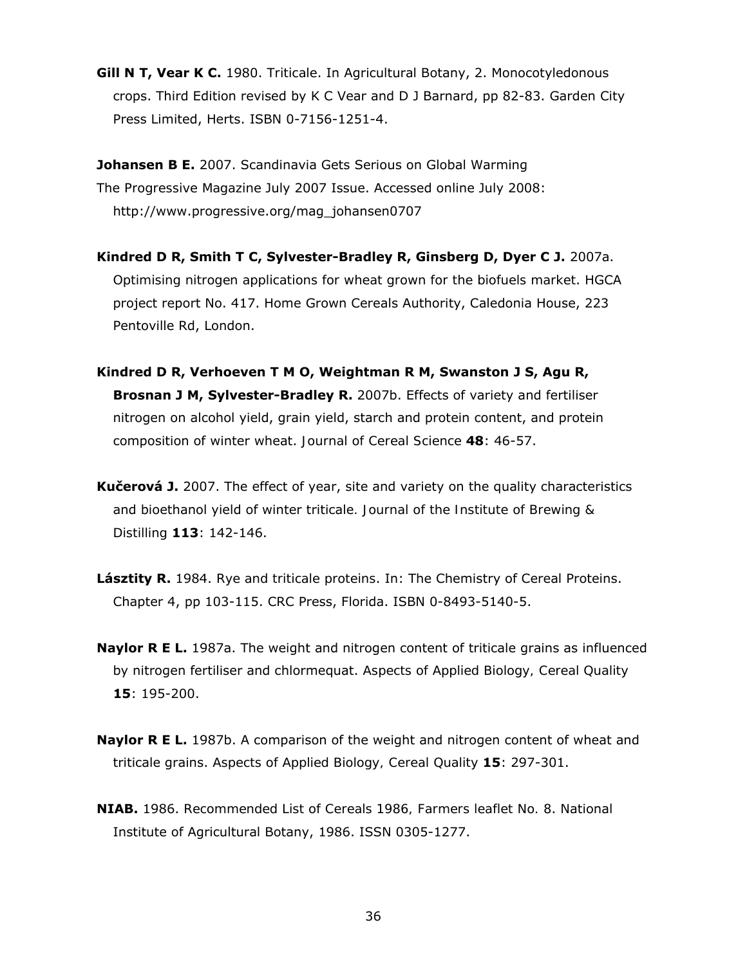**Gill N T, Vear K C.** 1980. *Triticale*. In Agricultural Botany, 2. Monocotyledonous crops. Third Edition revised by K C Vear and D J Barnard, pp 82-83. Garden City Press Limited, Herts. ISBN 0-7156-1251-4.

**Johansen B E.** 2007. Scandinavia Gets Serious on Global Warming The *Progressive Magazine* July 2007 Issue. Accessed online July 2008: http://www.progressive.org/mag\_johansen0707

**Kindred D R, Smith T C, Sylvester-Bradley R, Ginsberg D, Dyer C J.** 2007a. *Optimising nitrogen applications for wheat grown for the biofuels market*. HGCA project report No. 417. Home Grown Cereals Authority, Caledonia House, 223 Pentoville Rd, London.

- **Kindred D R, Verhoeven T M O, Weightman R M, Swanston J S, Agu R, Brosnan J M, Sylvester-Bradley R.** 2007b. Effects of variety and fertiliser nitrogen on alcohol yield, grain yield, starch and protein content, and protein composition of winter wheat. *Journal of Cereal Science* **48**: 46-57.
- **Kučerová J.** 2007. The effect of year, site and variety on the quality characteristics and bioethanol yield of winter triticale*. Journal of the Institute of Brewing & Distilling* **113**: 142-146.
- **Lásztity R.** 1984. *Rye and triticale proteins*. In: The Chemistry of Cereal Proteins. Chapter 4, pp 103-115. CRC Press, Florida. ISBN 0-8493-5140-5.
- **Naylor R E L.** 1987a. The weight and nitrogen content of triticale grains as influenced by nitrogen fertiliser and chlormequat. *Aspects of Applied Biology, Cereal Quality*  **15**: 195-200.
- **Naylor R E L.** 1987b. A comparison of the weight and nitrogen content of wheat and triticale grains. *Aspects of Applied Biology, Cereal Quality* **15**: 297-301.
- **NIAB.** 1986. *Recommended List of Cereals 1986, Farmers leaflet No. 8*. National Institute of Agricultural Botany, 1986. ISSN 0305-1277.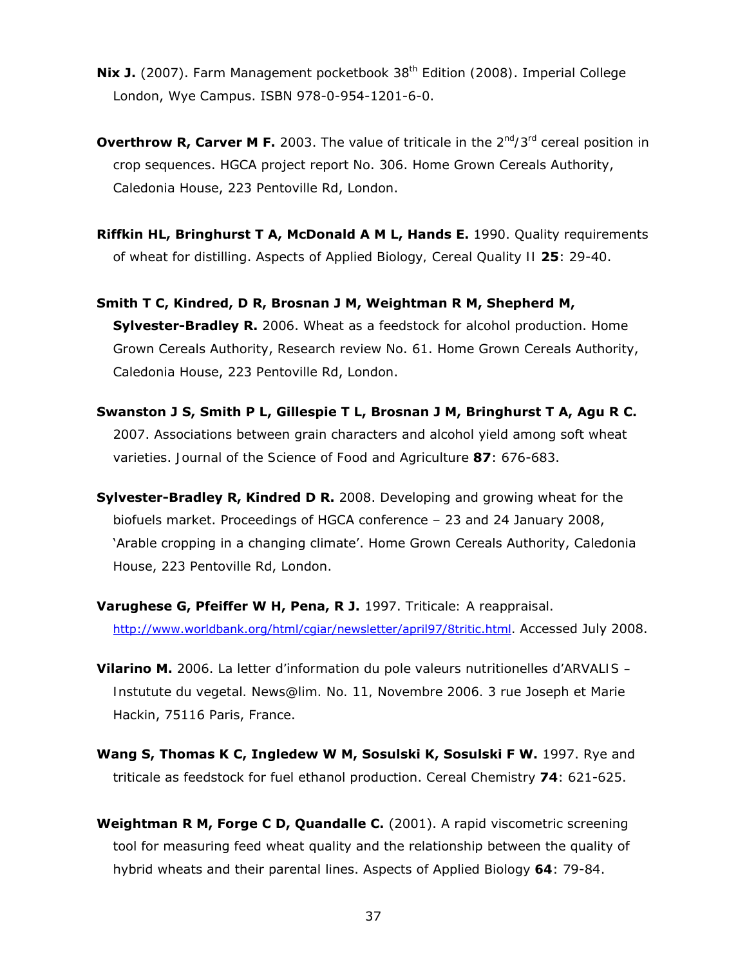- **Nix J.** (2007). *Farm Management pocketbook 38th Edition (2008)*. Imperial College London, Wye Campus. ISBN 978-0-954-1201-6-0.
- **Overthrow R, Carver M F.** 2003. *The value of triticale in the 2nd/3rd cereal position in crop sequences*. HGCA project report No. 306. Home Grown Cereals Authority, Caledonia House, 223 Pentoville Rd, London.
- **Riffkin HL, Bringhurst T A, McDonald A M L, Hands E.** 1990. Quality requirements of wheat for distilling. *Aspects of Applied Biology, Cereal Quality II* **25**: 29-40.
- **Smith T C, Kindred, D R, Brosnan J M, Weightman R M, Shepherd M, Sylvester-Bradley R.** 2006. *Wheat as a feedstock for alcohol production*. Home Grown Cereals Authority, Research review No. 61. Home Grown Cereals Authority, Caledonia House, 223 Pentoville Rd, London.
- **Swanston J S, Smith P L, Gillespie T L, Brosnan J M, Bringhurst T A, Agu R C.** 2007. Associations between grain characters and alcohol yield among soft wheat varieties. *Journal of the Science of Food and Agriculture* **87**: 676-683.
- **Sylvester-Bradley R, Kindred D R.** 2008. *Developing and growing wheat for the biofuels market*. Proceedings of HGCA conference – 23 and 24 January 2008, 'Arable cropping in a changing climate'. Home Grown Cereals Authority, Caledonia House, 223 Pentoville Rd, London.
- **Varughese G, Pfeiffer W H, Pena, R J.** 1997. *Triticale: A reappraisal*. http://www.worldbank.org/html/cgiar/newsletter/april97/8tritic.html. Accessed July 2008.
- **Vilarino M.** 2006. *La letter d'information du pole valeurs nutritionelles d'ARVALIS Instutute du vegetal. News@lim. No. 11, Novembre 2006.* 3 rue Joseph et Marie Hackin, 75116 Paris, France.
- **Wang S, Thomas K C, Ingledew W M, Sosulski K, Sosulski F W.** 1997. Rye and triticale as feedstock for fuel ethanol production. *Cereal Chemistry* **74**: 621-625.
- **Weightman R M, Forge C D, Quandalle C.** (2001). A rapid viscometric screening tool for measuring feed wheat quality and the relationship between the quality of hybrid wheats and their parental lines. *Aspects of Applied Biology 64*: 79-84.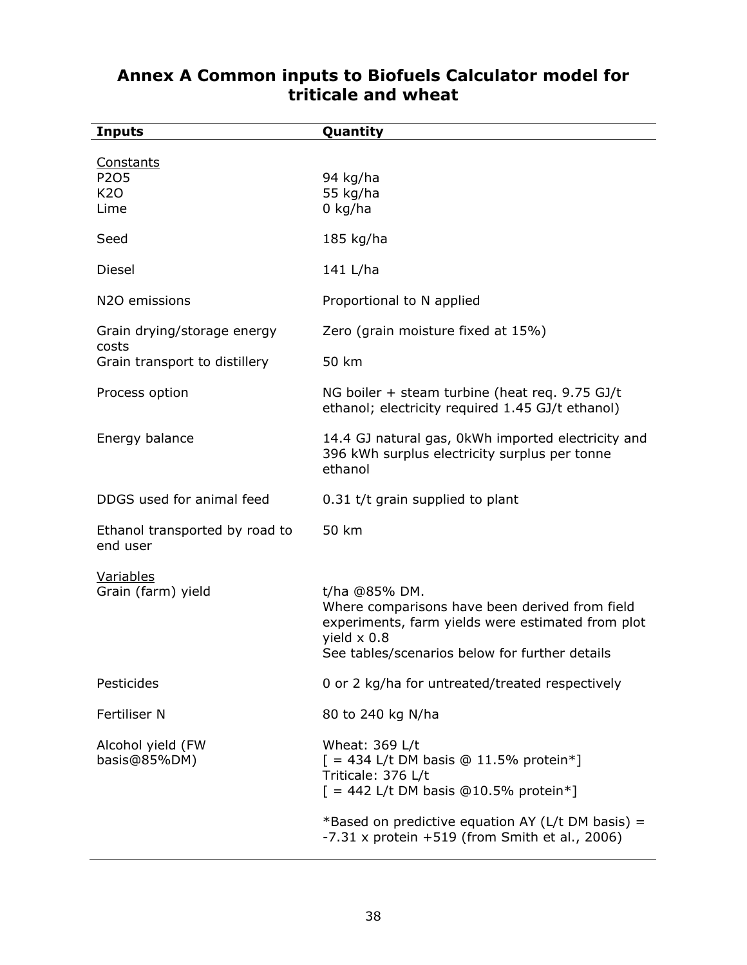| <b>Inputs</b>                                  | Quantity                                                                                                                                                                                     |
|------------------------------------------------|----------------------------------------------------------------------------------------------------------------------------------------------------------------------------------------------|
| <b>Constants</b><br>P205<br><b>K20</b><br>Lime | 94 kg/ha<br>55 kg/ha<br>$0$ kg/ha                                                                                                                                                            |
| Seed                                           | 185 kg/ha                                                                                                                                                                                    |
| Diesel                                         | 141 L/ha                                                                                                                                                                                     |
| N2O emissions                                  | Proportional to N applied                                                                                                                                                                    |
| Grain drying/storage energy<br>costs           | Zero (grain moisture fixed at 15%)                                                                                                                                                           |
| Grain transport to distillery                  | 50 km                                                                                                                                                                                        |
| Process option                                 | NG boiler + steam turbine (heat req. 9.75 GJ/t<br>ethanol; electricity required 1.45 GJ/t ethanol)                                                                                           |
| Energy balance                                 | 14.4 GJ natural gas, 0kWh imported electricity and<br>396 kWh surplus electricity surplus per tonne<br>ethanol                                                                               |
| DDGS used for animal feed                      | 0.31 t/t grain supplied to plant                                                                                                                                                             |
| Ethanol transported by road to<br>end user     | 50 km                                                                                                                                                                                        |
| Variables<br>Grain (farm) yield                | t/ha @85% DM.<br>Where comparisons have been derived from field<br>experiments, farm yields were estimated from plot<br>yield $\times$ 0.8<br>See tables/scenarios below for further details |
| Pesticides                                     | 0 or 2 kg/ha for untreated/treated respectively                                                                                                                                              |
| Fertiliser N                                   | 80 to 240 kg N/ha                                                                                                                                                                            |
| Alcohol yield (FW<br>basis@85%DM)              | Wheat: 369 L/t<br>$[ = 434$ L/t DM basis @ 11.5% protein*]<br>Triticale: 376 L/t<br>$[ = 442$ L/t DM basis @10.5% protein*]                                                                  |
|                                                | *Based on predictive equation AY (L/t DM basis) =<br>$-7.31$ x protein $+519$ (from Smith <i>et al.</i> , 2006)                                                                              |

## **Annex A Common inputs to Biofuels Calculator model for triticale and wheat**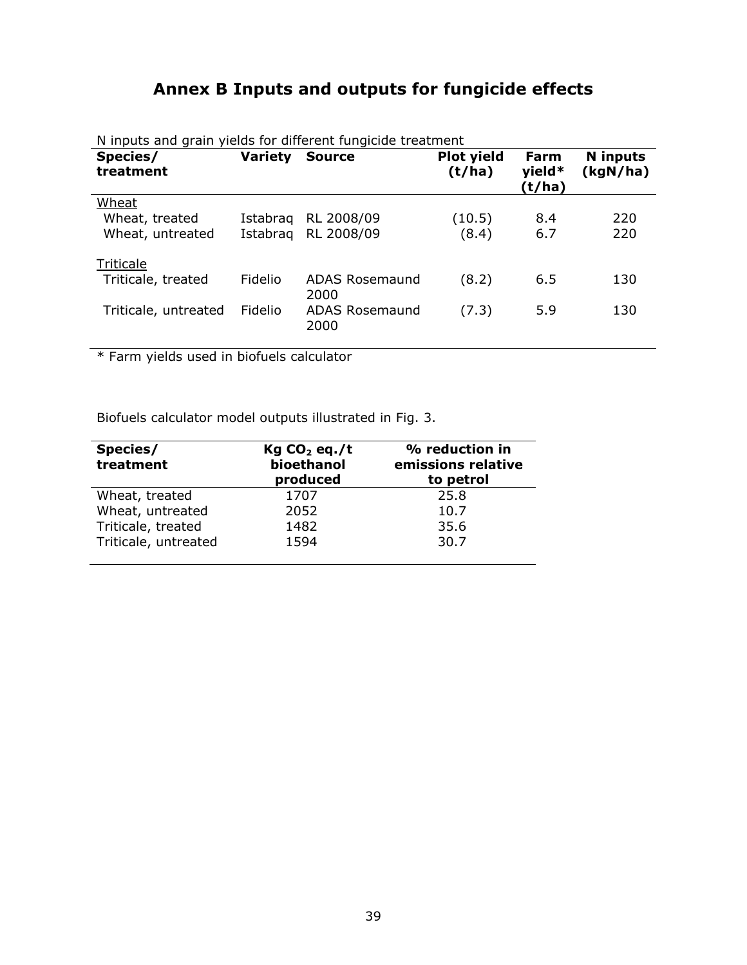## **Annex B Inputs and outputs for fungicide effects**

| Species/<br>treatment | <b>Variety</b> | <b>Source</b>                 | Plot yield<br>(t/ha) | <b>Farm</b><br>yield* | N inputs<br>(kgN/ha) |
|-----------------------|----------------|-------------------------------|----------------------|-----------------------|----------------------|
|                       |                |                               |                      | (t/ha)                |                      |
| Wheat                 |                |                               |                      |                       |                      |
| Wheat, treated        | Istabrag       | RL 2008/09                    | (10.5)               | 8.4                   | 220                  |
| Wheat, untreated      | Istabrag       | RL 2008/09                    | (8.4)                | 6.7                   | 220                  |
| Triticale             |                |                               |                      |                       |                      |
| Triticale, treated    | Fidelio        | <b>ADAS Rosemaund</b><br>2000 | (8.2)                | 6.5                   | 130                  |
| Triticale, untreated  | Fidelio        | <b>ADAS Rosemaund</b><br>2000 | (7.3)                | 5.9                   | 130                  |

N inputs and grain yields for different fungicide treatment

\* Farm yields used in biofuels calculator

Biofuels calculator model outputs illustrated in Fig. 3.

| Species/<br>treatment | Kg CO <sub>2</sub> eq./t<br>bioethanol<br>produced | % reduction in<br>emissions relative<br>to petrol |
|-----------------------|----------------------------------------------------|---------------------------------------------------|
| Wheat, treated        | 1707                                               | 25.8                                              |
| Wheat, untreated      | 2052                                               | 10.7                                              |
| Triticale, treated    | 1482                                               | 35.6                                              |
| Triticale, untreated  | 1594                                               | 30.7                                              |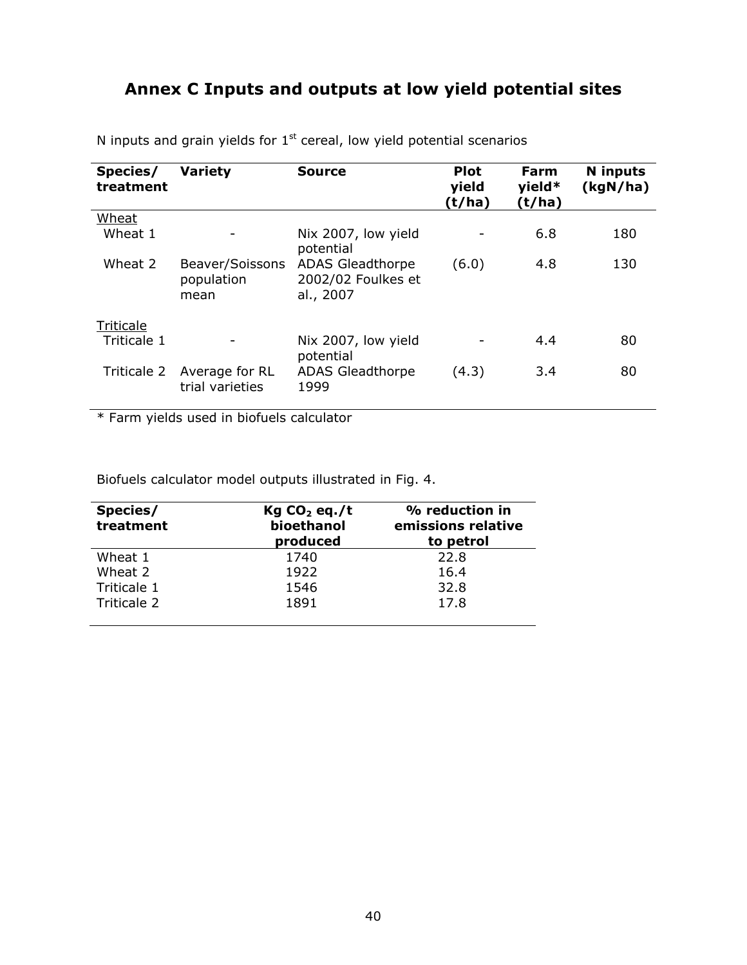## **Annex C Inputs and outputs at low yield potential sites**

| Species/<br>treatment | <b>Variety</b>                        | <b>Source</b>                                              | <b>Plot</b><br>yield<br>(t/ha) | Farm<br>$yield*$<br>(t/ha) | <b>N</b> inputs<br>(kgN/ha) |
|-----------------------|---------------------------------------|------------------------------------------------------------|--------------------------------|----------------------------|-----------------------------|
| Wheat                 |                                       |                                                            |                                |                            |                             |
| Wheat 1               |                                       | Nix 2007, low yield<br>potential                           |                                | 6.8                        | 180                         |
| Wheat 2               | Beaver/Soissons<br>population<br>mean | <b>ADAS Gleadthorpe</b><br>2002/02 Foulkes et<br>al., 2007 | (6.0)                          | 4.8                        | 130                         |
| Triticale             |                                       |                                                            |                                |                            |                             |
| Triticale 1           |                                       | Nix 2007, low yield<br>potential                           |                                | 4.4                        | 80                          |
| Triticale 2           | Average for RL<br>trial varieties     | <b>ADAS Gleadthorpe</b><br>1999                            | (4.3)                          | 3.4                        | 80                          |

N inputs and grain yields for  $1<sup>st</sup>$  cereal, low yield potential scenarios

\* Farm yields used in biofuels calculator

Biofuels calculator model outputs illustrated in Fig. 4.

| Species/<br>treatment | Kg CO <sub>2</sub> eq./t<br>bioethanol<br>produced | % reduction in<br>emissions relative<br>to petrol |
|-----------------------|----------------------------------------------------|---------------------------------------------------|
| Wheat 1               | 1740                                               | 22.8                                              |
| Wheat 2               | 1922                                               | 16.4                                              |
| Triticale 1           | 1546                                               | 32.8                                              |
| Triticale 2           | 1891                                               | 17.8                                              |